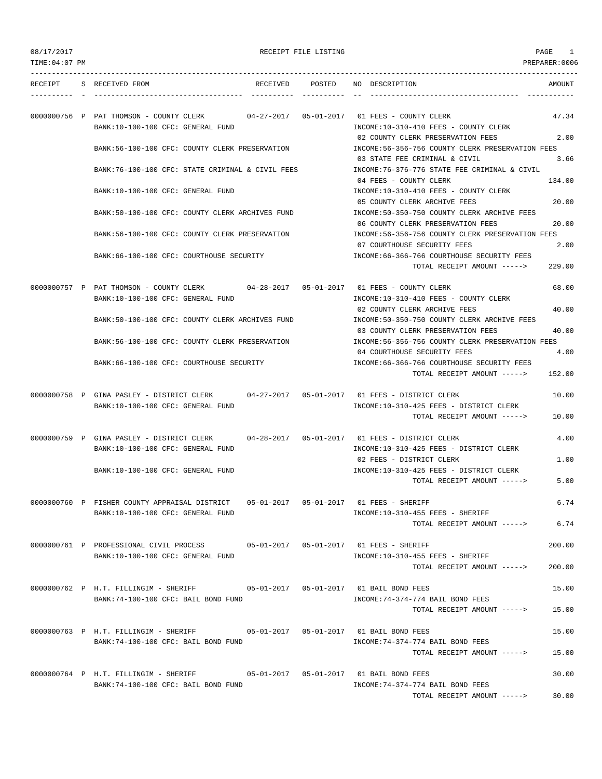| 08/17/2017 |  |
|------------|--|
|------------|--|

RECEIPT FILE LISTING **PAGE** 1

| TIME: 04: 07 PM |                                                                                                                       |                                   |                 | PREPARER: 0006                                                                                                                          |
|-----------------|-----------------------------------------------------------------------------------------------------------------------|-----------------------------------|-----------------|-----------------------------------------------------------------------------------------------------------------------------------------|
| RECEIPT         | S RECEIVED FROM                                                                                                       |                                   | RECEIVED POSTED | NO DESCRIPTION<br>AMOUNT                                                                                                                |
|                 | 0000000756 P PAT THOMSON - COUNTY CLERK<br>BANK:10-100-100 CFC: GENERAL FUND                                          |                                   |                 | 47.34<br>INCOME:10-310-410 FEES - COUNTY CLERK                                                                                          |
|                 | BANK:56-100-100 CFC: COUNTY CLERK PRESERVATION                                                                        |                                   |                 | 02 COUNTY CLERK PRESERVATION FEES<br>2.00<br>INCOME: 56-356-756 COUNTY CLERK PRESERVATION FEES<br>03 STATE FEE CRIMINAL & CIVIL<br>3.66 |
|                 | BANK:76-100-100 CFC: STATE CRIMINAL & CIVIL FEES                                                                      |                                   |                 | INCOME:76-376-776 STATE FEE CRIMINAL & CIVIL                                                                                            |
|                 | BANK:10-100-100 CFC: GENERAL FUND                                                                                     |                                   |                 | 04 FEES - COUNTY CLERK<br>134.00<br>INCOME:10-310-410 FEES - COUNTY CLERK                                                               |
|                 | BANK:50-100-100 CFC: COUNTY CLERK ARCHIVES FUND                                                                       |                                   |                 | 20.00<br>05 COUNTY CLERK ARCHIVE FEES<br>INCOME:50-350-750 COUNTY CLERK ARCHIVE FEES                                                    |
|                 | BANK:56-100-100 CFC: COUNTY CLERK PRESERVATION                                                                        |                                   |                 | 06 COUNTY CLERK PRESERVATION FEES<br>20.00<br>INCOME: 56-356-756 COUNTY CLERK PRESERVATION FEES                                         |
|                 | BANK:66-100-100 CFC: COURTHOUSE SECURITY                                                                              |                                   |                 | 07 COURTHOUSE SECURITY FEES<br>2.00<br>INCOME:66-366-766 COURTHOUSE SECURITY FEES                                                       |
|                 |                                                                                                                       |                                   |                 | 229.00<br>TOTAL RECEIPT AMOUNT ----->                                                                                                   |
|                 | 0000000757 P PAT THOMSON - COUNTY CLERK                                                                               |                                   |                 | 68.00                                                                                                                                   |
|                 | BANK:10-100-100 CFC: GENERAL FUND<br>BANK:50-100-100 CFC: COUNTY CLERK ARCHIVES FUND                                  |                                   |                 | INCOME:10-310-410 FEES - COUNTY CLERK<br>02 COUNTY CLERK ARCHIVE FEES<br>40.00<br>INCOME:50-350-750 COUNTY CLERK ARCHIVE FEES           |
|                 |                                                                                                                       |                                   |                 | 03 COUNTY CLERK PRESERVATION FEES<br>40.00                                                                                              |
|                 | BANK:56-100-100 CFC: COUNTY CLERK PRESERVATION                                                                        |                                   |                 | INCOME:56-356-756 COUNTY CLERK PRESERVATION FEES<br>04 COURTHOUSE SECURITY FEES<br>4.00                                                 |
|                 | BANK:66-100-100 CFC: COURTHOUSE SECURITY                                                                              |                                   |                 | INCOME: 66-366-766 COURTHOUSE SECURITY FEES<br>152.00<br>TOTAL RECEIPT AMOUNT ----->                                                    |
|                 |                                                                                                                       |                                   |                 |                                                                                                                                         |
|                 | 0000000758 P GINA PASLEY - DISTRICT CLERK<br>BANK:10-100-100 CFC: GENERAL FUND                                        | $04 - 27 - 2017$ $05 - 01 - 2017$ |                 | 01 FEES - DISTRICT CLERK<br>10.00<br>INCOME:10-310-425 FEES - DISTRICT CLERK                                                            |
|                 |                                                                                                                       |                                   |                 | TOTAL RECEIPT AMOUNT -----><br>10.00                                                                                                    |
|                 | 0000000759 P GINA PASLEY - DISTRICT CLERK<br>BANK:10-100-100 CFC: GENERAL FUND                                        |                                   |                 | 4.00<br>INCOME:10-310-425 FEES - DISTRICT CLERK                                                                                         |
|                 |                                                                                                                       |                                   |                 | 02 FEES - DISTRICT CLERK<br>1.00                                                                                                        |
|                 | BANK:10-100-100 CFC: GENERAL FUND                                                                                     |                                   |                 | INCOME:10-310-425 FEES - DISTRICT CLERK<br>TOTAL RECEIPT AMOUNT -----><br>5.00                                                          |
|                 | 0000000760 P FISHER COUNTY APPRAISAL DISTRICT                                                                         |                                   |                 | 05-01-2017  05-01-2017  01 FEES - SHERIFF<br>6.74                                                                                       |
|                 | BANK:10-100-100 CFC: GENERAL FUND                                                                                     |                                   |                 | INCOME:10-310-455 FEES - SHERIFF<br>6.74<br>TOTAL RECEIPT AMOUNT ----->                                                                 |
|                 | 0000000761 P PROFESSIONAL CIVIL PROCESS                                                                               |                                   |                 | 200.00                                                                                                                                  |
|                 | BANK:10-100-100 CFC: GENERAL FUND                                                                                     |                                   |                 | INCOME:10-310-455 FEES - SHERIFF<br>TOTAL RECEIPT AMOUNT -----><br>200.00                                                               |
|                 | 0000000762 P H.T. FILLINGIM - SHERIFF 05-01-2017 05-01-2017 01 BAIL BOND FEES                                         |                                   |                 | 15.00                                                                                                                                   |
|                 | BANK:74-100-100 CFC: BAIL BOND FUND                                                                                   |                                   |                 | INCOME: 74-374-774 BAIL BOND FEES<br>TOTAL RECEIPT AMOUNT -----><br>15.00                                                               |
|                 | 0000000763 P H.T. FILLINGIM - SHERIFF 05-01-2017 05-01-2017 01 BAIL BOND FEES                                         |                                   |                 | 15.00                                                                                                                                   |
|                 | BANK:74-100-100 CFC: BAIL BOND FUND                                                                                   |                                   |                 | INCOME: 74-374-774 BAIL BOND FEES<br>TOTAL RECEIPT AMOUNT -----><br>15.00                                                               |
|                 | 0000000764 P H.T. FILLINGIM - SHERIFF 605-01-2017 65-01-2017 01 BAIL BOND FEES<br>BANK:74-100-100 CFC: BAIL BOND FUND |                                   |                 | 30.00<br>INCOME: 74-374-774 BAIL BOND FEES                                                                                              |

TOTAL RECEIPT AMOUNT -----> 30.00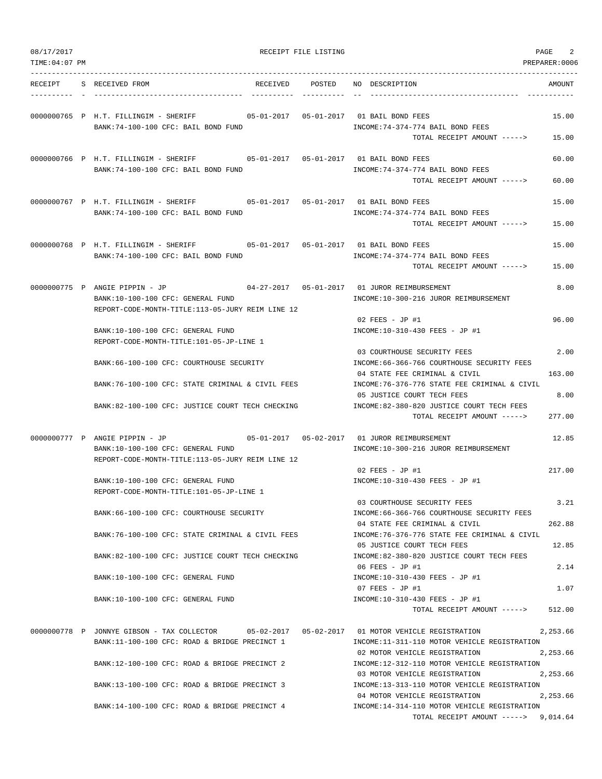| TIME: 04: 07 PM |                                                                                                |                 |                                                                               | PREPARER:0006 |
|-----------------|------------------------------------------------------------------------------------------------|-----------------|-------------------------------------------------------------------------------|---------------|
| RECEIPT         | S RECEIVED FROM                                                                                | RECEIVED POSTED | NO DESCRIPTION                                                                | AMOUNT        |
|                 | 0000000765 P H.T. FILLINGIM - SHERIFF<br>BANK:74-100-100 CFC: BAIL BOND FUND                   |                 | INCOME: 74-374-774 BAIL BOND FEES                                             | 15.00         |
|                 |                                                                                                |                 | TOTAL RECEIPT AMOUNT ----->                                                   | 15.00         |
|                 |                                                                                                |                 |                                                                               | 60.00         |
|                 | BANK:74-100-100 CFC: BAIL BOND FUND                                                            |                 | INCOME: 74-374-774 BAIL BOND FEES                                             |               |
|                 |                                                                                                |                 | TOTAL RECEIPT AMOUNT ----->                                                   | 60.00         |
|                 | 0000000767 P H.T. FILLINGIM - SHERIFF 65-01-2017 05-01-2017 01 BAIL BOND FEES                  |                 |                                                                               | 15.00         |
|                 | BANK:74-100-100 CFC: BAIL BOND FUND                                                            |                 | INCOME: 74-374-774 BAIL BOND FEES                                             |               |
|                 |                                                                                                |                 | TOTAL RECEIPT AMOUNT ----->                                                   | 15.00         |
|                 | 0000000768 P H.T. FILLINGIM - SHERIFF                                                          |                 |                                                                               | 15.00         |
|                 | BANK:74-100-100 CFC: BAIL BOND FUND                                                            |                 | INCOME: 74-374-774 BAIL BOND FEES                                             |               |
|                 |                                                                                                |                 | TOTAL RECEIPT AMOUNT ----->                                                   | 15.00         |
|                 | 0000000775 P ANGIE PIPPIN - JP                                                                 |                 |                                                                               | 8.00          |
|                 | BANK:10-100-100 CFC: GENERAL FUND                                                              |                 | INCOME:10-300-216 JUROR REIMBURSEMENT                                         |               |
|                 | REPORT-CODE-MONTH-TITLE:113-05-JURY REIM LINE 12                                               |                 | 02 FEES - JP #1                                                               | 96.00         |
|                 | BANK:10-100-100 CFC: GENERAL FUND                                                              |                 | INCOME:10-310-430 FEES - JP #1                                                |               |
|                 | REPORT-CODE-MONTH-TITLE:101-05-JP-LINE 1                                                       |                 |                                                                               |               |
|                 |                                                                                                |                 | 03 COURTHOUSE SECURITY FEES                                                   | 2.00          |
|                 | BANK:66-100-100 CFC: COURTHOUSE SECURITY                                                       |                 | INCOME: 66-366-766 COURTHOUSE SECURITY FEES                                   |               |
|                 |                                                                                                |                 | 04 STATE FEE CRIMINAL & CIVIL                                                 | 163.00        |
|                 | BANK:76-100-100 CFC: STATE CRIMINAL & CIVIL FEES                                               |                 | INCOME:76-376-776 STATE FEE CRIMINAL & CIVIL<br>05 JUSTICE COURT TECH FEES    | 8.00          |
|                 | BANK:82-100-100 CFC: JUSTICE COURT TECH CHECKING                                               |                 | INCOME:82-380-820 JUSTICE COURT TECH FEES                                     |               |
|                 |                                                                                                |                 | TOTAL RECEIPT AMOUNT ----->                                                   | 277.00        |
|                 |                                                                                                |                 |                                                                               | 12.85         |
|                 | BANK:10-100-100 CFC: GENERAL FUND                                                              |                 | INCOME:10-300-216 JUROR REIMBURSEMENT                                         |               |
|                 | REPORT-CODE-MONTH-TITLE:113-05-JURY REIM LINE 12                                               |                 |                                                                               |               |
|                 |                                                                                                |                 | $02$ FEES - JP #1                                                             | 217.00        |
|                 | BANK:10-100-100 CFC: GENERAL FUND                                                              |                 | INCOME:10-310-430 FEES - JP #1                                                |               |
|                 | REPORT-CODE-MONTH-TITLE:101-05-JP-LINE 1                                                       |                 | 03 COURTHOUSE SECURITY FEES                                                   | 3.21          |
|                 | BANK: 66-100-100 CFC: COURTHOUSE SECURITY                                                      |                 | INCOME:66-366-766 COURTHOUSE SECURITY FEES                                    |               |
|                 |                                                                                                |                 | 04 STATE FEE CRIMINAL & CIVIL                                                 | 262.88        |
|                 | BANK:76-100-100 CFC: STATE CRIMINAL & CIVIL FEES                                               |                 | INCOME: 76-376-776 STATE FEE CRIMINAL & CIVIL                                 |               |
|                 |                                                                                                |                 | 05 JUSTICE COURT TECH FEES                                                    | 12.85         |
|                 | BANK:82-100-100 CFC: JUSTICE COURT TECH CHECKING                                               |                 | INCOME:82-380-820 JUSTICE COURT TECH FEES<br>06 FEES - JP #1                  | 2.14          |
|                 | BANK:10-100-100 CFC: GENERAL FUND                                                              |                 | INCOME:10-310-430 FEES - JP #1                                                |               |
|                 |                                                                                                |                 | 07 FEES - JP #1                                                               | 1.07          |
|                 | BANK:10-100-100 CFC: GENERAL FUND                                                              |                 | INCOME:10-310-430 FEES - JP #1                                                |               |
|                 |                                                                                                |                 | TOTAL RECEIPT AMOUNT ----->                                                   | 512.00        |
|                 | 0000000778 P JONNYE GIBSON - TAX COLLECTOR 05-02-2017 05-02-2017 01 MOTOR VEHICLE REGISTRATION |                 |                                                                               | 2,253.66      |
|                 | BANK:11-100-100 CFC: ROAD & BRIDGE PRECINCT 1                                                  |                 | INCOME:11-311-110 MOTOR VEHICLE REGISTRATION                                  |               |
|                 |                                                                                                |                 | 02 MOTOR VEHICLE REGISTRATION                                                 | 2,253.66      |
|                 | BANK:12-100-100 CFC: ROAD & BRIDGE PRECINCT 2                                                  |                 | INCOME:12-312-110 MOTOR VEHICLE REGISTRATION<br>03 MOTOR VEHICLE REGISTRATION | 2,253.66      |
|                 | BANK:13-100-100 CFC: ROAD & BRIDGE PRECINCT 3                                                  |                 | INCOME:13-313-110 MOTOR VEHICLE REGISTRATION                                  |               |
|                 |                                                                                                |                 | 04 MOTOR VEHICLE REGISTRATION                                                 | 2,253.66      |
|                 | BANK:14-100-100 CFC: ROAD & BRIDGE PRECINCT 4                                                  |                 | INCOME:14-314-110 MOTOR VEHICLE REGISTRATION                                  |               |
|                 |                                                                                                |                 | TOTAL RECEIPT AMOUNT -----> 9,014.64                                          |               |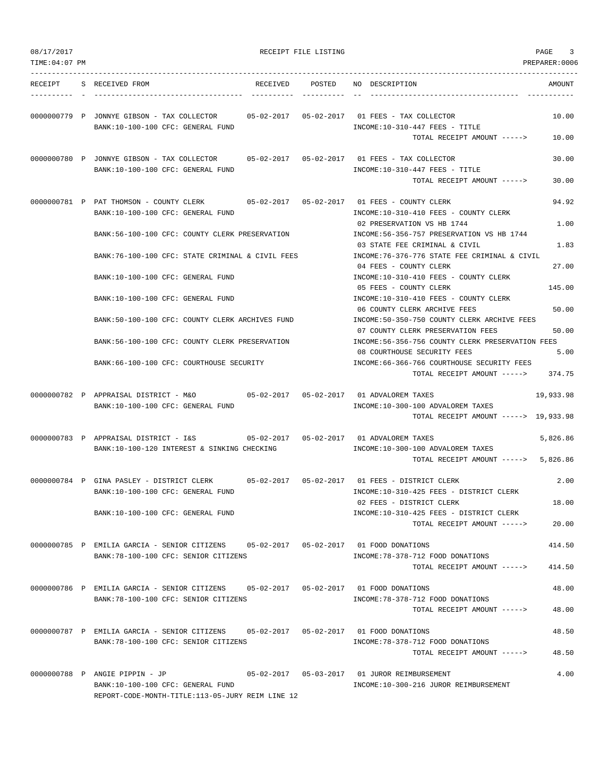| 08/17/2017     |                                                                                                                               |          | RECEIPT FILE LISTING |                                                                                                                  | PAGE<br>3       |
|----------------|-------------------------------------------------------------------------------------------------------------------------------|----------|----------------------|------------------------------------------------------------------------------------------------------------------|-----------------|
| TIME: 04:07 PM |                                                                                                                               |          |                      |                                                                                                                  | PREPARER: 0006  |
| RECEIPT        | S RECEIVED FROM                                                                                                               | RECEIVED | POSTED               | NO DESCRIPTION                                                                                                   | AMOUNT          |
|                | 0000000779 P JONNYE GIBSON - TAX COLLECTOR<br>BANK:10-100-100 CFC: GENERAL FUND                                               |          |                      | $INCOME:10-310-447$ FEES - TITLE                                                                                 | 10.00           |
|                |                                                                                                                               |          |                      | TOTAL RECEIPT AMOUNT ----->                                                                                      | 10.00           |
|                | 0000000780 P JONNYE GIBSON - TAX COLLECTOR<br>BANK:10-100-100 CFC: GENERAL FUND                                               |          |                      | 05-02-2017  05-02-2017  01 FEES - TAX COLLECTOR<br>INCOME:10-310-447 FEES - TITLE                                | 30.00           |
|                |                                                                                                                               |          |                      | TOTAL RECEIPT AMOUNT ----->                                                                                      | 30.00           |
|                | 0000000781 P PAT THOMSON - COUNTY CLERK 05-02-2017 05-02-2017 01 FEES - COUNTY CLERK<br>BANK:10-100-100 CFC: GENERAL FUND     |          |                      | INCOME:10-310-410 FEES - COUNTY CLERK                                                                            | 94.92           |
|                | BANK:56-100-100 CFC: COUNTY CLERK PRESERVATION                                                                                |          |                      | 02 PRESERVATION VS HB 1744<br>INCOME:56-356-757 PRESERVATION VS HB 1744                                          | 1.00            |
|                | BANK:76-100-100 CFC: STATE CRIMINAL & CIVIL FEES                                                                              |          |                      | 03 STATE FEE CRIMINAL & CIVIL<br>INCOME: 76-376-776 STATE FEE CRIMINAL & CIVIL                                   | 1.83            |
|                | BANK:10-100-100 CFC: GENERAL FUND                                                                                             |          |                      | 04 FEES - COUNTY CLERK<br>INCOME:10-310-410 FEES - COUNTY CLERK<br>05 FEES - COUNTY CLERK                        | 27.00<br>145.00 |
|                | BANK:10-100-100 CFC: GENERAL FUND                                                                                             |          |                      | INCOME:10-310-410 FEES - COUNTY CLERK                                                                            |                 |
|                | BANK:50-100-100 CFC: COUNTY CLERK ARCHIVES FUND                                                                               |          |                      | 06 COUNTY CLERK ARCHIVE FEES<br>INCOME:50-350-750 COUNTY CLERK ARCHIVE FEES<br>07 COUNTY CLERK PRESERVATION FEES | 50.00<br>50.00  |
|                | BANK:56-100-100 CFC: COUNTY CLERK PRESERVATION                                                                                |          |                      | INCOME:56-356-756 COUNTY CLERK PRESERVATION FEES                                                                 |                 |
|                | BANK:66-100-100 CFC: COURTHOUSE SECURITY                                                                                      |          |                      | 08 COURTHOUSE SECURITY FEES<br>INCOME:66-366-766 COURTHOUSE SECURITY FEES<br>TOTAL RECEIPT AMOUNT ----->         | 5.00<br>374.75  |
|                |                                                                                                                               |          |                      |                                                                                                                  |                 |
|                | 0000000782 P APPRAISAL DISTRICT - M&O<br>BANK:10-100-100 CFC: GENERAL FUND                                                    |          |                      | INCOME:10-300-100 ADVALOREM TAXES<br>TOTAL RECEIPT AMOUNT -----> 19,933.98                                       | 19,933.98       |
|                | 0000000783 P APPRAISAL DISTRICT - I&S<br>BANK:10-100-120 INTEREST & SINKING CHECKING                                          |          |                      | 05-02-2017  05-02-2017  01 ADVALOREM TAXES<br>INCOME:10-300-100 ADVALOREM TAXES                                  | 5,826.86        |
|                |                                                                                                                               |          |                      | TOTAL RECEIPT AMOUNT -----> 5,826.86                                                                             |                 |
|                | 0000000784 P GINA PASLEY - DISTRICT CLERK<br>BANK:10-100-100 CFC: GENERAL FUND                                                |          |                      | 01 FEES - DISTRICT CLERK<br>INCOME:10-310-425 FEES - DISTRICT CLERK                                              | 2.00            |
|                | BANK:10-100-100 CFC: GENERAL FUND                                                                                             |          |                      | 02 FEES - DISTRICT CLERK<br>INCOME:10-310-425 FEES - DISTRICT CLERK                                              | 18.00           |
|                |                                                                                                                               |          |                      | TOTAL RECEIPT AMOUNT ----->                                                                                      | 20.00           |
|                | 0000000785 P EMILIA GARCIA - SENIOR CITIZENS 05-02-2017 05-02-2017 01 FOOD DONATIONS<br>BANK:78-100-100 CFC: SENIOR CITIZENS  |          |                      | INCOME: 78-378-712 FOOD DONATIONS                                                                                | 414.50          |
|                |                                                                                                                               |          |                      | TOTAL RECEIPT AMOUNT ----->                                                                                      | 414.50          |
|                | 0000000786 P EMILIA GARCIA - SENIOR CITIZENS 05-02-2017 05-02-2017 01 FOOD DONATIONS<br>BANK:78-100-100 CFC: SENIOR CITIZENS  |          |                      | INCOME: 78-378-712 FOOD DONATIONS                                                                                | 48.00           |
|                |                                                                                                                               |          |                      | TOTAL RECEIPT AMOUNT ----->                                                                                      | 48.00           |
|                | 0000000787 P EMILIA GARCIA - SENIOR CITIZENS 05-02-2017 05-02-2017 01 FOOD DONATIONS<br>BANK: 78-100-100 CFC: SENIOR CITIZENS |          |                      | INCOME: 78-378-712 FOOD DONATIONS                                                                                | 48.50           |
|                |                                                                                                                               |          |                      | TOTAL RECEIPT AMOUNT ----->                                                                                      | 48.50           |
|                | 0000000788 P ANGIE PIPPIN - JP<br>BANK:10-100-100 CFC: GENERAL FUND<br>REPORT-CODE-MONTH-TITLE:113-05-JURY REIM LINE 12       |          |                      | 05-02-2017  05-03-2017  01 JUROR REIMBURSEMENT<br>INCOME:10-300-216 JUROR REIMBURSEMENT                          | 4.00            |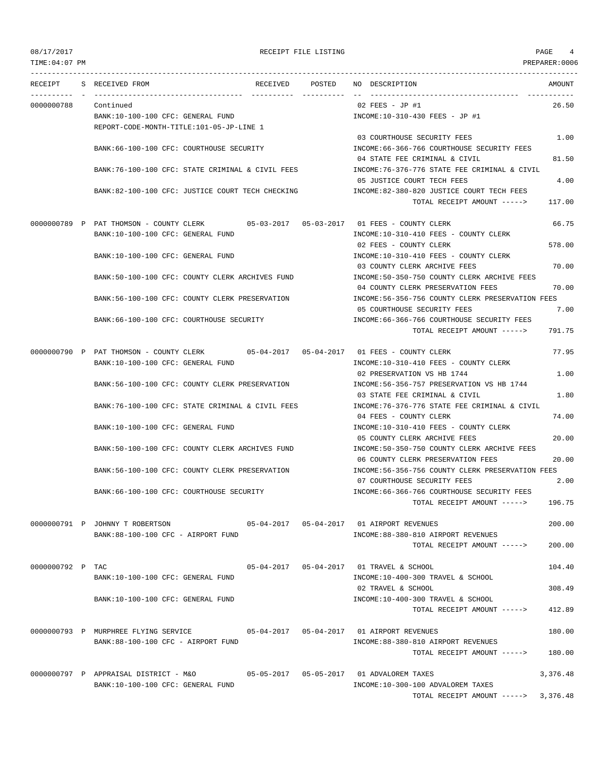| TIME:04:07 PM    |                                                  |          |        |                                                   | PREPARER:0006 |
|------------------|--------------------------------------------------|----------|--------|---------------------------------------------------|---------------|
| RECEIPT          | S RECEIVED FROM                                  | RECEIVED | POSTED | NO DESCRIPTION                                    | AMOUNT        |
| 0000000788       | Continued                                        |          |        | 02 FEES - JP #1                                   | 26.50         |
|                  | BANK:10-100-100 CFC: GENERAL FUND                |          |        | INCOME:10-310-430 FEES - JP #1                    |               |
|                  | REPORT-CODE-MONTH-TITLE:101-05-JP-LINE 1         |          |        |                                                   |               |
|                  |                                                  |          |        | 03 COURTHOUSE SECURITY FEES                       | 1.00          |
|                  | BANK: 66-100-100 CFC: COURTHOUSE SECURITY        |          |        | INCOME: 66-366-766 COURTHOUSE SECURITY FEES       |               |
|                  |                                                  |          |        | 04 STATE FEE CRIMINAL & CIVIL                     | 81.50         |
|                  | BANK:76-100-100 CFC: STATE CRIMINAL & CIVIL FEES |          |        | INCOME: 76-376-776 STATE FEE CRIMINAL & CIVIL     |               |
|                  |                                                  |          |        | 05 JUSTICE COURT TECH FEES                        | 4.00          |
|                  | BANK:82-100-100 CFC: JUSTICE COURT TECH CHECKING |          |        | INCOME:82-380-820 JUSTICE COURT TECH FEES         |               |
|                  |                                                  |          |        | TOTAL RECEIPT AMOUNT ----->                       | 117.00        |
|                  | 0000000789 P PAT THOMSON - COUNTY CLERK          |          |        |                                                   | 66.75         |
|                  | BANK:10-100-100 CFC: GENERAL FUND                |          |        | INCOME:10-310-410 FEES - COUNTY CLERK             |               |
|                  |                                                  |          |        | 02 FEES - COUNTY CLERK                            | 578.00        |
|                  | BANK:10-100-100 CFC: GENERAL FUND                |          |        | INCOME:10-310-410 FEES - COUNTY CLERK             |               |
|                  |                                                  |          |        | 03 COUNTY CLERK ARCHIVE FEES                      | 70.00         |
|                  | BANK:50-100-100 CFC: COUNTY CLERK ARCHIVES FUND  |          |        | INCOME:50-350-750 COUNTY CLERK ARCHIVE FEES       |               |
|                  |                                                  |          |        | 04 COUNTY CLERK PRESERVATION FEES                 | 70.00         |
|                  | BANK:56-100-100 CFC: COUNTY CLERK PRESERVATION   |          |        | INCOME:56-356-756 COUNTY CLERK PRESERVATION FEES  |               |
|                  |                                                  |          |        | 05 COURTHOUSE SECURITY FEES                       | 7.00          |
|                  | BANK: 66-100-100 CFC: COURTHOUSE SECURITY        |          |        | INCOME: 66-366-766 COURTHOUSE SECURITY FEES       |               |
|                  |                                                  |          |        | TOTAL RECEIPT AMOUNT ----->                       | 791.75        |
|                  | 0000000790 P PAT THOMSON - COUNTY CLERK          |          |        | 05-04-2017  05-04-2017  01 FEES - COUNTY CLERK    | 77.95         |
|                  | BANK:10-100-100 CFC: GENERAL FUND                |          |        | INCOME:10-310-410 FEES - COUNTY CLERK             |               |
|                  |                                                  |          |        | 02 PRESERVATION VS HB 1744                        | 1.00          |
|                  | BANK:56-100-100 CFC: COUNTY CLERK PRESERVATION   |          |        | INCOME: 56-356-757 PRESERVATION VS HB 1744        |               |
|                  |                                                  |          |        | 03 STATE FEE CRIMINAL & CIVIL                     | 1.80          |
|                  | BANK:76-100-100 CFC: STATE CRIMINAL & CIVIL FEES |          |        | INCOME:76-376-776 STATE FEE CRIMINAL & CIVIL      |               |
|                  |                                                  |          |        | 04 FEES - COUNTY CLERK                            | 74.00         |
|                  | BANK:10-100-100 CFC: GENERAL FUND                |          |        | INCOME:10-310-410 FEES - COUNTY CLERK             |               |
|                  |                                                  |          |        | 05 COUNTY CLERK ARCHIVE FEES                      | 20.00         |
|                  | BANK:50-100-100 CFC: COUNTY CLERK ARCHIVES FUND  |          |        | INCOME: 50-350-750 COUNTY CLERK ARCHIVE FEES      |               |
|                  |                                                  |          |        | 06 COUNTY CLERK PRESERVATION FEES                 | 20.00         |
|                  | BANK:56-100-100 CFC: COUNTY CLERK PRESERVATION   |          |        | INCOME: 56-356-756 COUNTY CLERK PRESERVATION FEES |               |
|                  |                                                  |          |        | 07 COURTHOUSE SECURITY FEES                       | 2.00          |
|                  | BANK:66-100-100 CFC: COURTHOUSE SECURITY         |          |        | INCOME: 66-366-766 COURTHOUSE SECURITY FEES       |               |
|                  |                                                  |          |        | TOTAL RECEIPT AMOUNT ----->                       | 196.75        |
|                  | 0000000791 P JOHNNY T ROBERTSON                  |          |        |                                                   | 200.00        |
|                  | BANK:88-100-100 CFC - AIRPORT FUND               |          |        | INCOME:88-380-810 AIRPORT REVENUES                |               |
|                  |                                                  |          |        | TOTAL RECEIPT AMOUNT ----->                       | 200.00        |
|                  |                                                  |          |        |                                                   |               |
| 0000000792 P TAC |                                                  |          |        | 05-04-2017  05-04-2017  01 TRAVEL & SCHOOL        | 104.40        |
|                  | BANK:10-100-100 CFC: GENERAL FUND                |          |        | INCOME:10-400-300 TRAVEL & SCHOOL                 |               |
|                  |                                                  |          |        | 02 TRAVEL & SCHOOL                                | 308.49        |
|                  | BANK:10-100-100 CFC: GENERAL FUND                |          |        | INCOME:10-400-300 TRAVEL & SCHOOL                 |               |
|                  |                                                  |          |        | TOTAL RECEIPT AMOUNT ----->                       | 412.89        |
|                  | 0000000793 P MURPHREE FLYING SERVICE             |          |        |                                                   | 180.00        |
|                  | BANK:88-100-100 CFC - AIRPORT FUND               |          |        | INCOME: 88-380-810 AIRPORT REVENUES               |               |
|                  |                                                  |          |        | TOTAL RECEIPT AMOUNT ----->                       | 180.00        |
|                  |                                                  |          |        |                                                   |               |
|                  | 0000000797 P APPRAISAL DISTRICT - M&O            |          |        | 05-05-2017  05-05-2017  01 ADVALOREM TAXES        | 3,376.48      |
|                  | BANK:10-100-100 CFC: GENERAL FUND                |          |        | INCOME:10-300-100 ADVALOREM TAXES                 |               |

TOTAL RECEIPT AMOUNT -----> 3,376.48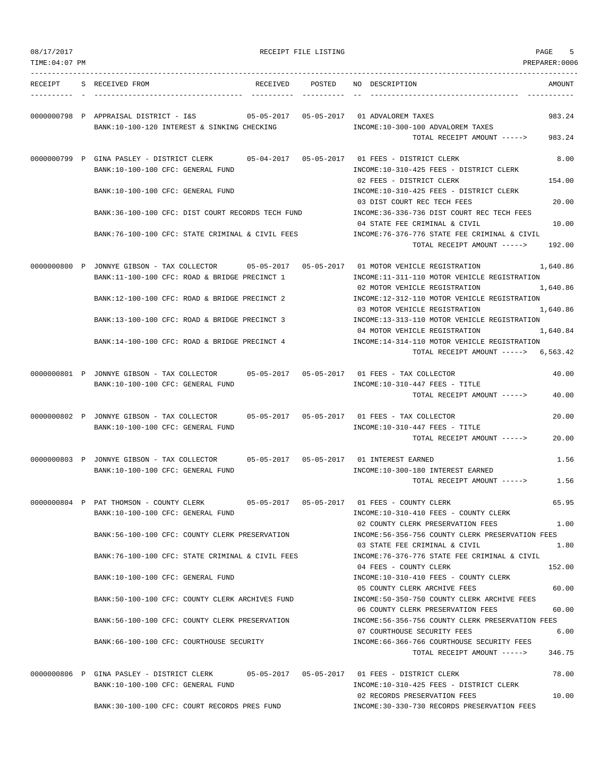| 08/17/2017     |                                                                                                                          | RECEIPT FILE LISTING              |                                                                                                                    | PAGE<br>5            |
|----------------|--------------------------------------------------------------------------------------------------------------------------|-----------------------------------|--------------------------------------------------------------------------------------------------------------------|----------------------|
| TIME: 04:07 PM |                                                                                                                          |                                   |                                                                                                                    | PREPARER: 0006       |
| RECEIPT        | S RECEIVED FROM<br>RECEIVED                                                                                              | POSTED                            | NO DESCRIPTION                                                                                                     | AMOUNT               |
|                | 0000000798 P APPRAISAL DISTRICT - I&S<br>BANK:10-100-120 INTEREST & SINKING CHECKING                                     |                                   | 05-05-2017    05-05-2017    01 ADVALOREM TAXES<br>INCOME:10-300-100 ADVALOREM TAXES<br>TOTAL RECEIPT AMOUNT -----> | 983.24<br>983.24     |
|                | 0000000799 P GINA PASLEY - DISTRICT CLERK<br>BANK:10-100-100 CFC: GENERAL FUND                                           | $05 - 04 - 2017$ $05 - 05 - 2017$ | 01 FEES - DISTRICT CLERK<br>INCOME:10-310-425 FEES - DISTRICT CLERK                                                | 8.00                 |
|                | BANK:10-100-100 CFC: GENERAL FUND                                                                                        |                                   | 02 FEES - DISTRICT CLERK<br>INCOME:10-310-425 FEES - DISTRICT CLERK                                                | 154.00               |
|                | BANK:36-100-100 CFC: DIST COURT RECORDS TECH FUND                                                                        |                                   | 03 DIST COURT REC TECH FEES<br>INCOME: 36-336-736 DIST COURT REC TECH FEES<br>04 STATE FEE CRIMINAL & CIVIL        | 20.00<br>10.00       |
|                | BANK:76-100-100 CFC: STATE CRIMINAL & CIVIL FEES                                                                         |                                   | INCOME: 76-376-776 STATE FEE CRIMINAL & CIVIL<br>TOTAL RECEIPT AMOUNT ----->                                       | 192.00               |
|                | 0000000800 P JONNYE GIBSON - TAX COLLECTOR<br>BANK:11-100-100 CFC: ROAD & BRIDGE PRECINCT 1                              |                                   | 01 MOTOR VEHICLE REGISTRATION<br>INCOME:11-311-110 MOTOR VEHICLE REGISTRATION                                      | 1,640.86             |
|                | BANK:12-100-100 CFC: ROAD & BRIDGE PRECINCT 2                                                                            |                                   | 02 MOTOR VEHICLE REGISTRATION<br>INCOME:12-312-110 MOTOR VEHICLE REGISTRATION                                      | 1,640.86             |
|                | BANK:13-100-100 CFC: ROAD & BRIDGE PRECINCT 3                                                                            |                                   | 03 MOTOR VEHICLE REGISTRATION<br>INCOME:13-313-110 MOTOR VEHICLE REGISTRATION<br>04 MOTOR VEHICLE REGISTRATION     | 1,640.86<br>1,640.84 |
|                | BANK:14-100-100 CFC: ROAD & BRIDGE PRECINCT 4                                                                            |                                   | INCOME:14-314-110 MOTOR VEHICLE REGISTRATION<br>TOTAL RECEIPT AMOUNT -----> 6,563.42                               |                      |
|                | 0000000801 P JONNYE GIBSON - TAX COLLECTOR<br>BANK:10-100-100 CFC: GENERAL FUND                                          | 05-05-2017 05-05-2017             | 01 FEES - TAX COLLECTOR<br>INCOME:10-310-447 FEES - TITLE<br>TOTAL RECEIPT AMOUNT ----->                           | 40.00<br>40.00       |
|                | 0000000802 P JONNYE GIBSON - TAX COLLECTOR<br>BANK:10-100-100 CFC: GENERAL FUND                                          |                                   | INCOME:10-310-447 FEES - TITLE<br>TOTAL RECEIPT AMOUNT ----->                                                      | 20.00<br>20.00       |
|                | 0000000803 P JONNYE GIBSON - TAX COLLECTOR 05-05-2017 05-05-2017 01 INTEREST EARNED<br>BANK:10-100-100 CFC: GENERAL FUND |                                   | INCOME:10-300-180 INTEREST EARNED<br>TOTAL RECEIPT AMOUNT ----->                                                   | 1.56<br>1.56         |
|                | 0000000804 P PAT THOMSON - COUNTY CLERK<br>BANK:10-100-100 CFC: GENERAL FUND                                             |                                   | 05-05-2017   05-05-2017   01   FEES - COUNTY CLERK<br>INCOME:10-310-410 FEES - COUNTY CLERK                        | 65.95                |
|                | BANK:56-100-100 CFC: COUNTY CLERK PRESERVATION                                                                           |                                   | 02 COUNTY CLERK PRESERVATION FEES<br>INCOME: 56-356-756 COUNTY CLERK PRESERVATION FEES                             | 1.00                 |
|                | BANK:76-100-100 CFC: STATE CRIMINAL & CIVIL FEES                                                                         |                                   | 03 STATE FEE CRIMINAL & CIVIL<br>INCOME: 76-376-776 STATE FEE CRIMINAL & CIVIL<br>04 FEES - COUNTY CLERK           | 1.80<br>152.00       |
|                | BANK:10-100-100 CFC: GENERAL FUND                                                                                        |                                   | INCOME:10-310-410 FEES - COUNTY CLERK<br>05 COUNTY CLERK ARCHIVE FEES                                              | 60.00                |
|                | BANK:50-100-100 CFC: COUNTY CLERK ARCHIVES FUND                                                                          |                                   | INCOME:50-350-750 COUNTY CLERK ARCHIVE FEES<br>06 COUNTY CLERK PRESERVATION FEES                                   | 60.00                |
|                | BANK:56-100-100 CFC: COUNTY CLERK PRESERVATION                                                                           |                                   | INCOME:56-356-756 COUNTY CLERK PRESERVATION FEES<br>07 COURTHOUSE SECURITY FEES                                    | 6.00                 |
|                | BANK:66-100-100 CFC: COURTHOUSE SECURITY                                                                                 |                                   | INCOME: 66-366-766 COURTHOUSE SECURITY FEES<br>TOTAL RECEIPT AMOUNT ----->                                         | 346.75               |
|                | 0000000806 P GINA PASLEY - DISTRICT CLERK<br>BANK:10-100-100 CFC: GENERAL FUND                                           |                                   | INCOME:10-310-425 FEES - DISTRICT CLERK                                                                            | 78.00                |
|                | BANK:30-100-100 CFC: COURT RECORDS PRES FUND                                                                             |                                   | 02 RECORDS PRESERVATION FEES<br>INCOME:30-330-730 RECORDS PRESERVATION FEES                                        | 10.00                |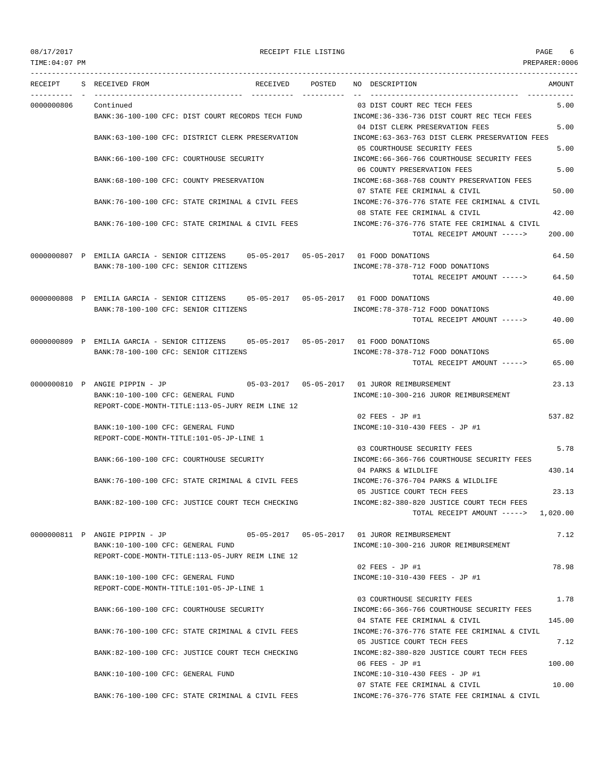| TIME:04:07 PM |                                                                                       |          |            |                                                                                | PREPARER:0006 |
|---------------|---------------------------------------------------------------------------------------|----------|------------|--------------------------------------------------------------------------------|---------------|
| RECEIPT       | S RECEIVED FROM<br>-----------------                                                  | RECEIVED | POSTED     | NO DESCRIPTION                                                                 | AMOUNT        |
| 0000000806    | Continued                                                                             |          | ---------- | ----------------------------------<br>03 DIST COURT REC TECH FEES              | 5.00          |
|               | BANK:36-100-100 CFC: DIST COURT RECORDS TECH FUND                                     |          |            | INCOME: 36-336-736 DIST COURT REC TECH FEES<br>04 DIST CLERK PRESERVATION FEES | 5.00          |
|               | BANK:63-100-100 CFC: DISTRICT CLERK PRESERVATION                                      |          |            | INCOME:63-363-763 DIST CLERK PRESERVATION FEES<br>05 COURTHOUSE SECURITY FEES  | 5.00          |
|               | BANK:66-100-100 CFC: COURTHOUSE SECURITY                                              |          |            | INCOME: 66-366-766 COURTHOUSE SECURITY FEES<br>06 COUNTY PRESERVATION FEES     | 5.00          |
|               | BANK:68-100-100 CFC: COUNTY PRESERVATION                                              |          |            | INCOME:68-368-768 COUNTY PRESERVATION FEES<br>07 STATE FEE CRIMINAL & CIVIL    | 50.00         |
|               | BANK:76-100-100 CFC: STATE CRIMINAL & CIVIL FEES                                      |          |            | INCOME:76-376-776 STATE FEE CRIMINAL & CIVIL<br>08 STATE FEE CRIMINAL & CIVIL  | 42.00         |
|               | BANK:76-100-100 CFC: STATE CRIMINAL & CIVIL FEES                                      |          |            | INCOME:76-376-776 STATE FEE CRIMINAL & CIVIL<br>TOTAL RECEIPT AMOUNT ----->    | 200.00        |
|               |                                                                                       |          |            |                                                                                |               |
|               | 0000000807 P EMILIA GARCIA - SENIOR CITIZENS 05-05-2017 05-05-2017 01 FOOD DONATIONS  |          |            |                                                                                | 64.50         |
|               | BANK: 78-100-100 CFC: SENIOR CITIZENS                                                 |          |            | INCOME: 78-378-712 FOOD DONATIONS<br>TOTAL RECEIPT AMOUNT ----->               | 64.50         |
|               | 0000000808 P EMILIA GARCIA - SENIOR CITIZENS 05-05-2017 05-05-2017 01 FOOD DONATIONS  |          |            |                                                                                | 40.00         |
|               | BANK: 78-100-100 CFC: SENIOR CITIZENS                                                 |          |            | INCOME: 78-378-712 FOOD DONATIONS                                              |               |
|               |                                                                                       |          |            | TOTAL RECEIPT AMOUNT ----->                                                    | 40.00         |
|               | 0000000809 P EMILIA GARCIA - SENIOR CITIZENS 05-05-2017 05-05-2017 01 FOOD DONATIONS  |          |            |                                                                                | 65.00         |
|               | BANK: 78-100-100 CFC: SENIOR CITIZENS                                                 |          |            | INCOME: 78-378-712 FOOD DONATIONS<br>TOTAL RECEIPT AMOUNT ----->               | 65.00         |
|               | 0000000810 P ANGIE PIPPIN - JP                                                        |          |            |                                                                                | 23.13         |
|               | BANK:10-100-100 CFC: GENERAL FUND<br>REPORT-CODE-MONTH-TITLE:113-05-JURY REIM LINE 12 |          |            | INCOME:10-300-216 JUROR REIMBURSEMENT                                          |               |
|               |                                                                                       |          |            | 02 FEES - JP #1                                                                | 537.82        |
|               | BANK:10-100-100 CFC: GENERAL FUND<br>REPORT-CODE-MONTH-TITLE:101-05-JP-LINE 1         |          |            | INCOME:10-310-430 FEES - JP #1                                                 |               |
|               |                                                                                       |          |            | 03 COURTHOUSE SECURITY FEES                                                    | 5.78          |
|               | BANK:66-100-100 CFC: COURTHOUSE SECURITY                                              |          |            | INCOME: 66-366-766 COURTHOUSE SECURITY FEES<br>04 PARKS & WILDLIFE             | 430.14        |
|               | BANK:76-100-100 CFC: STATE CRIMINAL & CIVIL FEES                                      |          |            | INCOME: 76-376-704 PARKS & WILDLIFE                                            |               |
|               |                                                                                       |          |            | 05 JUSTICE COURT TECH FEES                                                     | 23.13         |
|               | BANK:82-100-100 CFC: JUSTICE COURT TECH CHECKING                                      |          |            | INCOME:82-380-820 JUSTICE COURT TECH FEES                                      |               |
|               |                                                                                       |          |            | TOTAL RECEIPT AMOUNT -----> 1,020.00                                           |               |
|               | 0000000811 P ANGIE PIPPIN - JP                                                        |          |            |                                                                                | 7.12          |
|               | BANK:10-100-100 CFC: GENERAL FUND                                                     |          |            | INCOME:10-300-216 JUROR REIMBURSEMENT                                          |               |
|               | REPORT-CODE-MONTH-TITLE:113-05-JURY REIM LINE 12                                      |          |            |                                                                                |               |
|               | BANK:10-100-100 CFC: GENERAL FUND                                                     |          |            | 02 FEES - JP #1<br>INCOME:10-310-430 FEES - JP #1                              | 78.98         |
|               | REPORT-CODE-MONTH-TITLE:101-05-JP-LINE 1                                              |          |            |                                                                                |               |
|               |                                                                                       |          |            | 03 COURTHOUSE SECURITY FEES                                                    | 1.78          |
|               | BANK:66-100-100 CFC: COURTHOUSE SECURITY                                              |          |            | INCOME:66-366-766 COURTHOUSE SECURITY FEES                                     |               |
|               |                                                                                       |          |            | 04 STATE FEE CRIMINAL & CIVIL                                                  | 145.00        |
|               | BANK:76-100-100 CFC: STATE CRIMINAL & CIVIL FEES                                      |          |            | INCOME: 76-376-776 STATE FEE CRIMINAL & CIVIL<br>05 JUSTICE COURT TECH FEES    | 7.12          |
|               | BANK:82-100-100 CFC: JUSTICE COURT TECH CHECKING                                      |          |            | INCOME:82-380-820 JUSTICE COURT TECH FEES                                      |               |
|               |                                                                                       |          |            | 06 FEES - JP #1                                                                | 100.00        |
|               | BANK:10-100-100 CFC: GENERAL FUND                                                     |          |            | INCOME:10-310-430 FEES - JP #1                                                 |               |
|               | BANK:76-100-100 CFC: STATE CRIMINAL & CIVIL FEES                                      |          |            | 07 STATE FEE CRIMINAL & CIVIL<br>INCOME:76-376-776 STATE FEE CRIMINAL & CIVIL  | 10.00         |
|               |                                                                                       |          |            |                                                                                |               |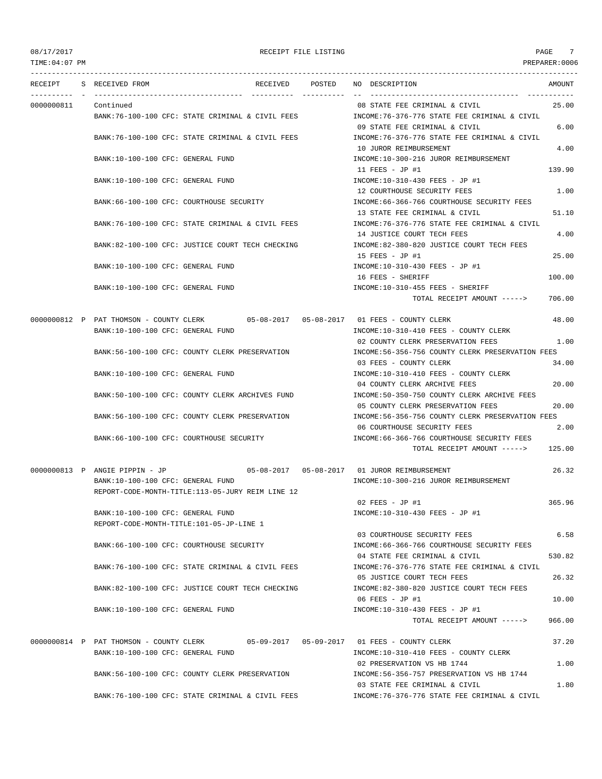TIME:04:07 PM PREPARER:0006 --------------------------------------------------------------------------------------------------------------------------------- RECEIPT S RECEIVED FROM RECEIVED POSTED NO DESCRIPTION AMOUNT ---------- - ----------------------------------- ---------- ---------- -- ----------------------------------- ----------- 0000000811 Continued 08 STATE FEE CRIMINAL & CIVIL 25.00 BANK:76-100-100 CFC: STATE CRIMINAL & CIVIL FEES INCOME:76-376-776 STATE FEE CRIMINAL & CIVIL 09 STATE FEE CRIMINAL & CIVIL 6.00 BANK:76-100-100 CFC: STATE CRIMINAL & CIVIL FEES INCOME:76-376-776 STATE FEE CRIMINAL & CIVIL 10 JUROR REIMBURSEMENT 4.00 BANK:10-100-100 CFC: GENERAL FUND INCOME:10-300-216 JUROR REIMBURSEMENT 11 FEES - JP #1 139.90 BANK:10-100-100 CFC: GENERAL FUND INCOME:10-310-430 FEES - JP #1 12 COURTHOUSE SECURITY FEES 1.00 BANK:66-100-100 CFC: COURTHOUSE SECURITY **INCOME:66-366-766 COURTHOUSE SECURITY FEES** 13 STATE FEE CRIMINAL & CIVIL 51.10 BANK:76-100-100 CFC: STATE CRIMINAL & CIVIL FEES INCOME:76-376-776 STATE FEE CRIMINAL & CIVIL 14 JUSTICE COURT TECH FEES 4.00 BANK:82-100-100 CFC: JUSTICE COURT TECH CHECKING INCOME:82-380-820 JUSTICE COURT TECH FEES 15 FEES - JP #1 25.00 BANK:10-100-100 CFC: GENERAL FUND INCOME:10-310-430 FEES - JP #1 16 FEES - SHERIFF 100.00 BANK:10-100-100 CFC: GENERAL FUND INCOME:10-310-455 FEES - SHERIFF TOTAL RECEIPT AMOUNT -----> 706.00 0000000812 P PAT THOMSON - COUNTY CLERK 05-08-2017 05-08-2017 01 FEES - COUNTY CLERK 48.00 BANK:10-100-100 CFC: GENERAL FUND INCOME:10-310-410 FEES - COUNTY CLERK 02 COUNTY CLERK PRESERVATION FEES 1.00 BANK:56-100-100 CFC: COUNTY CLERK PRESERVATION INCOME:56-356-756 COUNTY CLERK PRESERVATION FEES 03 FEES - COUNTY CLERK 34.00 BANK:10-100-100 CFC: GENERAL FUND INCOME:10-310-410 FEES - COUNTY CLERK 04 COUNTY CLERK ARCHIVE FEES 20.00 BANK:50-100-100 CFC: COUNTY CLERK ARCHIVES FUND INCOME:50-350-750 COUNTY CLERK ARCHIVE FEES 05 COUNTY CLERK PRESERVATION FEES 20.00 BANK:56-100-100 CFC: COUNTY CLERK PRESERVATION INCOME:56-356-756 COUNTY CLERK PRESERVATION FEES 06 COURTHOUSE SECURITY FEES 2.00 BANK:66-100-100 CFC: COURTHOUSE SECURITY INCOME:66-366-766 COURTHOUSE SECURITY FEES TOTAL RECEIPT AMOUNT -----> 125.00 0000000813 P ANGIE PIPPIN - JP 05-08-2017 05-08-2017 01 JUROR REIMBURSEMENT 26.32 BANK:10-100-100 CFC: GENERAL FUND INCOME:10-300-216 JUROR REIMBURSEMENT REPORT-CODE-MONTH-TITLE:113-05-JURY REIM LINE 12  $02$  FEES - JD #1 365.96 BANK:10-100-100 CFC: GENERAL FUND INCOME:10-310-430 FEES - JP #1 REPORT-CODE-MONTH-TITLE:101-05-JP-LINE 1 03 COURTHOUSE SECURITY FEES 6.58 BANK:66-100-100 CFC: COURTHOUSE SECURITY INCOME:66-366-766 COURTHOUSE SECURITY FEES 04 STATE FEE CRIMINAL & CIVIL 530.82 BANK:76-100-100 CFC: STATE CRIMINAL & CIVIL FEES INCOME:76-376-776 STATE FEE CRIMINAL & CIVIL 05 JUSTICE COURT TECH FEES 26.32 BANK:82-100-100 CFC: JUSTICE COURT TECH CHECKING INCOME:82-380-820 JUSTICE COURT TECH FEES  $06$  FEES - JP #1  $10.00$ BANK:10-100-100 CFC: GENERAL FUND INCOME:10-310-430 FEES - JP #1 TOTAL RECEIPT AMOUNT -----> 966.00 0000000814 P PAT THOMSON - COUNTY CLERK 05-09-2017 05-09-2017 01 FEES - COUNTY CLERK 37.20 BANK:10-100-100 CFC: GENERAL FUND INCOME:10-310-410 FEES - COUNTY CLERK 02 PRESERVATION VS HB 1744 1.00 BANK:56-100-100 CFC: COUNTY CLERK PRESERVATION INCOME:56-356-757 PRESERVATION VS HB 1744 03 STATE FEE CRIMINAL & CIVIL 1.80 BANK:76-100-100 CFC: STATE CRIMINAL & CIVIL FEES INCOME:76-376-776 STATE FEE CRIMINAL & CIVIL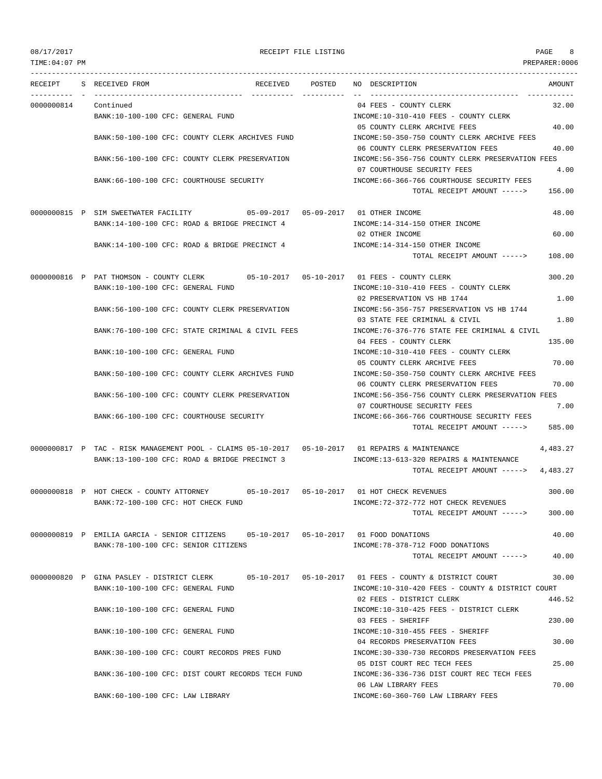| TIME: 04: 07 PM |                                                                                                                             |        |                                                                                       | PREPARER:0006  |
|-----------------|-----------------------------------------------------------------------------------------------------------------------------|--------|---------------------------------------------------------------------------------------|----------------|
| RECEIPT         | S RECEIVED FROM<br>RECEIVED                                                                                                 | POSTED | NO DESCRIPTION                                                                        | AMOUNT         |
| 0000000814      | Continued<br>BANK:10-100-100 CFC: GENERAL FUND                                                                              |        | 04 FEES - COUNTY CLERK<br>INCOME:10-310-410 FEES - COUNTY CLERK                       | 32.00          |
|                 | BANK:50-100-100 CFC: COUNTY CLERK ARCHIVES FUND                                                                             |        | 05 COUNTY CLERK ARCHIVE FEES<br>INCOME:50-350-750 COUNTY CLERK ARCHIVE FEES           | 40.00          |
|                 | BANK:56-100-100 CFC: COUNTY CLERK PRESERVATION                                                                              |        | 06 COUNTY CLERK PRESERVATION FEES<br>INCOME:56-356-756 COUNTY CLERK PRESERVATION FEES | 40.00          |
|                 |                                                                                                                             |        | 07 COURTHOUSE SECURITY FEES                                                           | 4.00           |
|                 | BANK:66-100-100 CFC: COURTHOUSE SECURITY                                                                                    |        | INCOME: 66-366-766 COURTHOUSE SECURITY FEES<br>TOTAL RECEIPT AMOUNT ----->            | 156.00         |
|                 | 0000000815 P SIM SWEETWATER FACILITY 05-09-2017 05-09-2017 01 OTHER INCOME<br>BANK:14-100-100 CFC: ROAD & BRIDGE PRECINCT 4 |        | INCOME:14-314-150 OTHER INCOME                                                        | 48.00          |
|                 |                                                                                                                             |        | 02 OTHER INCOME                                                                       | 60.00          |
|                 | BANK:14-100-100 CFC: ROAD & BRIDGE PRECINCT 4                                                                               |        | INCOME:14-314-150 OTHER INCOME<br>TOTAL RECEIPT AMOUNT ----->                         | 108.00         |
|                 |                                                                                                                             |        |                                                                                       |                |
|                 | 0000000816 P PAT THOMSON - COUNTY CLERK<br>BANK:10-100-100 CFC: GENERAL FUND                                                |        | INCOME:10-310-410 FEES - COUNTY CLERK                                                 | 300.20<br>1.00 |
|                 | BANK:56-100-100 CFC: COUNTY CLERK PRESERVATION                                                                              |        | 02 PRESERVATION VS HB 1744<br>INCOME: 56-356-757 PRESERVATION VS HB 1744              | 1.80           |
|                 | BANK:76-100-100 CFC: STATE CRIMINAL & CIVIL FEES                                                                            |        | 03 STATE FEE CRIMINAL & CIVIL<br>INCOME:76-376-776 STATE FEE CRIMINAL & CIVIL         |                |
|                 | BANK:10-100-100 CFC: GENERAL FUND                                                                                           |        | 04 FEES - COUNTY CLERK<br>INCOME:10-310-410 FEES - COUNTY CLERK                       | 135.00         |
|                 | BANK:50-100-100 CFC: COUNTY CLERK ARCHIVES FUND                                                                             |        | 05 COUNTY CLERK ARCHIVE FEES<br>INCOME:50-350-750 COUNTY CLERK ARCHIVE FEES           | 70.00          |
|                 | BANK:56-100-100 CFC: COUNTY CLERK PRESERVATION                                                                              |        | 06 COUNTY CLERK PRESERVATION FEES<br>INCOME:56-356-756 COUNTY CLERK PRESERVATION FEES | 70.00          |
|                 | BANK:66-100-100 CFC: COURTHOUSE SECURITY                                                                                    |        | 07 COURTHOUSE SECURITY FEES<br>INCOME: 66-366-766 COURTHOUSE SECURITY FEES            | 7.00           |
|                 |                                                                                                                             |        | TOTAL RECEIPT AMOUNT ----->                                                           | 585.00         |
|                 | 0000000817 P TAC - RISK MANAGEMENT POOL - CLAIMS 05-10-2017 05-10-2017 01 REPAIRS & MAINTENANCE                             |        |                                                                                       | 4,483.27       |
|                 | BANK:13-100-100 CFC: ROAD & BRIDGE PRECINCT 3                                                                               |        | INCOME:13-613-320 REPAIRS & MAINTENANCE<br>TOTAL RECEIPT AMOUNT ----->                | 4,483.27       |
|                 | 0000000818 P HOT CHECK - COUNTY ATTORNEY 65-10-2017 05-10-2017 01 HOT CHECK REVENUES                                        |        |                                                                                       | 300.00         |
|                 | BANK: 72-100-100 CFC: HOT CHECK FUND                                                                                        |        | INCOME: 72-372-772 HOT CHECK REVENUES<br>TOTAL RECEIPT AMOUNT ----->                  | 300.00         |
|                 | 0000000819 P EMILIA GARCIA - SENIOR CITIZENS                                                                                |        |                                                                                       | 40.00          |
|                 | BANK:78-100-100 CFC: SENIOR CITIZENS                                                                                        |        | INCOME: 78-378-712 FOOD DONATIONS<br>TOTAL RECEIPT AMOUNT ----->                      | 40.00          |
|                 | 0000000820 P GINA PASLEY - DISTRICT CLERK                                                                                   |        | 05-10-2017  05-10-2017  01 FEES - COUNTY & DISTRICT COURT                             | 30.00          |
|                 | BANK:10-100-100 CFC: GENERAL FUND                                                                                           |        | INCOME:10-310-420 FEES - COUNTY & DISTRICT COURT<br>02 FEES - DISTRICT CLERK          | 446.52         |
|                 | BANK:10-100-100 CFC: GENERAL FUND                                                                                           |        | INCOME:10-310-425 FEES - DISTRICT CLERK                                               |                |
|                 | BANK:10-100-100 CFC: GENERAL FUND                                                                                           |        | 03 FEES - SHERIFF<br>INCOME:10-310-455 FEES - SHERIFF                                 | 230.00         |
|                 | BANK:30-100-100 CFC: COURT RECORDS PRES FUND                                                                                |        | 04 RECORDS PRESERVATION FEES<br>INCOME: 30-330-730 RECORDS PRESERVATION FEES          | 30.00          |
|                 | BANK:36-100-100 CFC: DIST COURT RECORDS TECH FUND                                                                           |        | 05 DIST COURT REC TECH FEES<br>INCOME: 36-336-736 DIST COURT REC TECH FEES            | 25.00          |
|                 |                                                                                                                             |        | 06 LAW LIBRARY FEES                                                                   | 70.00          |
|                 | BANK:60-100-100 CFC: LAW LIBRARY                                                                                            |        | INCOME:60-360-760 LAW LIBRARY FEES                                                    |                |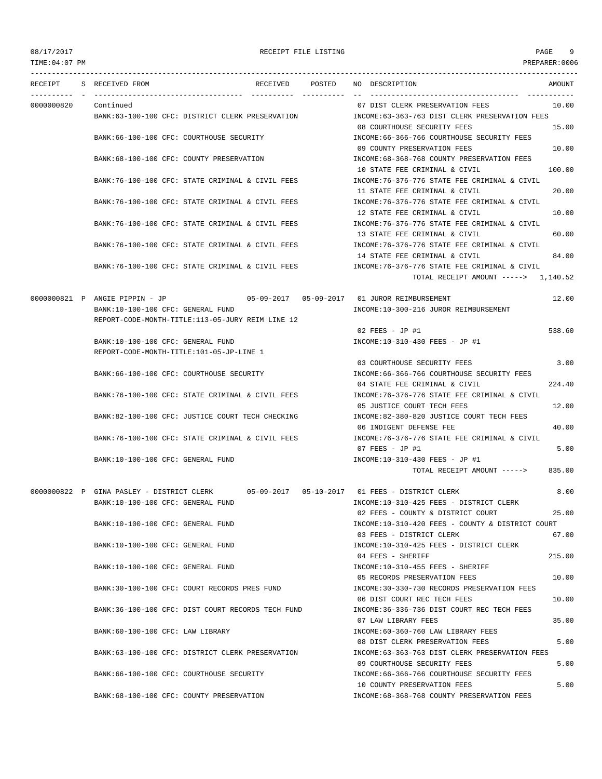TIME:04:07 PM PREPARER:0006 --------------------------------------------------------------------------------------------------------------------------------- RECEIPT S RECEIVED FROM RECEIVED POSTED NO DESCRIPTION AMOUNT ---------- - ----------------------------------- ---------- ---------- -- ----------------------------------- ----------- 0000000820 Continued 07 DIST CLERK PRESERVATION FEES 10.00 BANK:63-100-100 CFC: DISTRICT CLERK PRESERVATION INCOME:63-363-763 DIST CLERK PRESERVATION FEES 08 COURTHOUSE SECURITY FEES 15.00 BANK:66-100-100 CFC: COURTHOUSE SECURITY INCOME:66-366-766 COURTHOUSE SECURITY FEES 09 COUNTY PRESERVATION FEES 10.00 BANK:68-100-100 CFC: COUNTY PRESERVATION INCOME:68-368-768 COUNTY PRESERVATION FEES 10 STATE FEE CRIMINAL & CIVIL 100.00 BANK:76-100-100 CFC: STATE CRIMINAL & CIVIL FEES INCOME:76-376-776 STATE FEE CRIMINAL & CIVIL 11 STATE FEE CRIMINAL & CIVIL 20.00 BANK:76-100-100 CFC: STATE CRIMINAL & CIVIL FEES INCOME:76-376-776 STATE FEE CRIMINAL & CIVIL 12 STATE FEE CRIMINAL & CIVIL 10.00 BANK:76-100-100 CFC: STATE CRIMINAL & CIVIL FEES INCOME:76-376-776 STATE FEE CRIMINAL & CIVIL 13 STATE FEE CRIMINAL & CIVIL 60.00 BANK:76-100-100 CFC: STATE CRIMINAL & CIVIL FEES INCOME:76-376-776 STATE FEE CRIMINAL & CIVIL 14 STATE FEE CRIMINAL & CIVIL 64.00 BANK:76-100-100 CFC: STATE CRIMINAL & CIVIL FEES INCOME:76-376-776 STATE FEE CRIMINAL & CIVIL TOTAL RECEIPT AMOUNT -----> 1,140.52 0000000821 P ANGIE PIPPIN - JP 05-09-2017 05-09-2017 01 JUROR REIMBURSEMENT 12.00 BANK:10-100-100 CFC: GENERAL FUND INCOME:10-300-216 JUROR REIMBURSEMENT REPORT-CODE-MONTH-TITLE:113-05-JURY REIM LINE 12  $0.2$  FEES - JP #1 538.60 BANK:10-100-100 CFC: GENERAL FUND INCOME:10-310-430 FEES - JP #1 REPORT-CODE-MONTH-TITLE:101-05-JP-LINE 1 03 COURTHOUSE SECURITY FEES 3.00 BANK:66-100-100 CFC: COURTHOUSE SECURITY **INCOME:66-366-766 COURTHOUSE SECURITY FEES** 04 STATE FEE CRIMINAL & CIVIL 224.40 BANK:76-100-100 CFC: STATE CRIMINAL & CIVIL FEES INCOME:76-376-776 STATE FEE CRIMINAL & CIVIL 05 JUSTICE COURT TECH FEES 12.00 BANK:82-100-100 CFC: JUSTICE COURT TECH CHECKING INCOME:82-380-820 JUSTICE COURT TECH FEES 06 INDIGENT DEFENSE FEE 40.00 BANK:76-100-100 CFC: STATE CRIMINAL & CIVIL FEES INCOME:76-376-776 STATE FEE CRIMINAL & CIVIL 07 FEES - JP #1 5.00 BANK:10-100-100 CFC: GENERAL FUND INCOME:10-310-430 FEES - JP #1 TOTAL RECEIPT AMOUNT -----> 835.00 0000000822 P GINA PASLEY - DISTRICT CLERK 05-09-2017 05-10-2017 01 FEES - DISTRICT CLERK 8.00 BANK:10-100-100 CFC: GENERAL FUND INCOME:10-310-425 FEES - DISTRICT CLERK 02 FEES - COUNTY & DISTRICT COURT 25.00 BANK:10-100-100 CFC: GENERAL FUND INCOME:10-310-420 FEES - COUNTY & DISTRICT COURT 03 FEES - DISTRICT CLERK 67.00 BANK:10-100-100 CFC: GENERAL FUND INCOME:10-310-425 FEES - DISTRICT CLERK 04 FEES - SHERIFF 215.00 BANK:10-100-100 CFC: GENERAL FUND INCOME:10-310-455 FEES - SHERIFF 05 RECORDS PRESERVATION FEES 10.00 BANK:30-100-100 CFC: COURT RECORDS PRES FUND INCOME:30-330-730 RECORDS PRESERVATION FEES 06 DIST COURT REC TECH FEES 10.00 BANK:36-100-100 CFC: DIST COURT RECORDS TECH FUND INCOME:36-336-736 DIST COURT REC TECH FEES 07 LAW LIBRARY FEES 35.00 BANK:60-100-100 CFC: LAW LIBRARY INCOME:60-360-760 LAW LIBRARY FEES 08 DIST CLERK PRESERVATION FEES 5.00 BANK:63-100-100 CFC: DISTRICT CLERK PRESERVATION INCOME:63-363-763 DIST CLERK PRESERVATION FEES 09 COURTHOUSE SECURITY FEES 5.00 BANK:66-100-100 CFC: COURTHOUSE SECURITY INCOME:66-366-766 COURTHOUSE SECURITY FEES 10 COUNTY PRESERVATION FEES 5.00 BANK:68-100-100 CFC: COUNTY PRESERVATION INCOME:68-368-768 COUNTY PRESERVATION FEES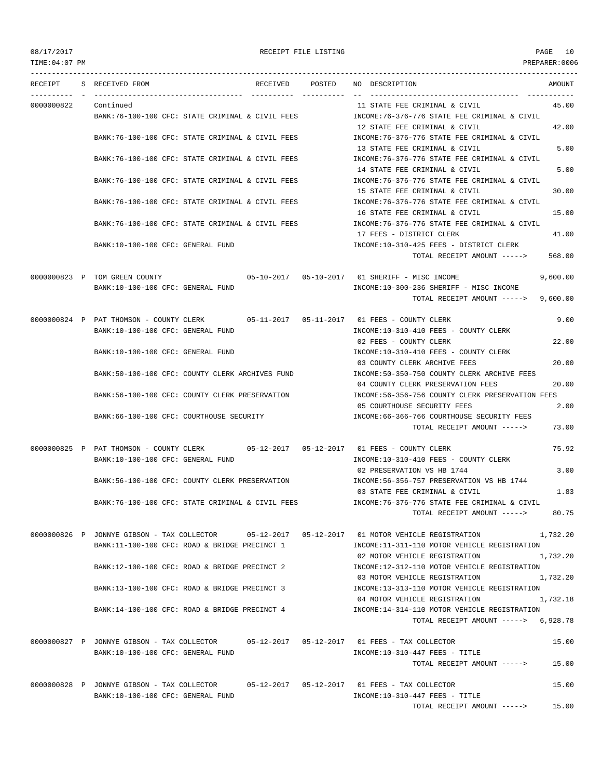| 08/17/2017     |                                                                                                                               | RECEIPT FILE LISTING |                                                                                  | PAGE<br>10    |
|----------------|-------------------------------------------------------------------------------------------------------------------------------|----------------------|----------------------------------------------------------------------------------|---------------|
| TIME: 04:07 PM |                                                                                                                               |                      |                                                                                  | PREPARER:0006 |
| RECEIPT        | S RECEIVED FROM                                                                                                               | RECEIVED POSTED      | NO DESCRIPTION                                                                   | AMOUNT        |
| 0000000822     | Continued                                                                                                                     |                      | 11 STATE FEE CRIMINAL & CIVIL                                                    | 45.00         |
|                | BANK:76-100-100 CFC: STATE CRIMINAL & CIVIL FEES                                                                              |                      | INCOME:76-376-776 STATE FEE CRIMINAL & CIVIL                                     |               |
|                |                                                                                                                               |                      | 12 STATE FEE CRIMINAL & CIVIL                                                    | 42.00         |
|                | BANK:76-100-100 CFC: STATE CRIMINAL & CIVIL FEES                                                                              |                      | INCOME:76-376-776 STATE FEE CRIMINAL & CIVIL                                     |               |
|                | BANK: 76-100-100 CFC: STATE CRIMINAL & CIVIL FEES                                                                             |                      | 13 STATE FEE CRIMINAL & CIVIL<br>INCOME: 76-376-776 STATE FEE CRIMINAL & CIVIL   | 5.00          |
|                |                                                                                                                               |                      | 14 STATE FEE CRIMINAL & CIVIL                                                    | 5.00          |
|                | BANK:76-100-100 CFC: STATE CRIMINAL & CIVIL FEES                                                                              |                      | INCOME: 76-376-776 STATE FEE CRIMINAL & CIVIL                                    |               |
|                |                                                                                                                               |                      | 15 STATE FEE CRIMINAL & CIVIL                                                    | 30.00         |
|                | BANK:76-100-100 CFC: STATE CRIMINAL & CIVIL FEES                                                                              |                      | INCOME: 76-376-776 STATE FEE CRIMINAL & CIVIL                                    |               |
|                |                                                                                                                               |                      | 16 STATE FEE CRIMINAL & CIVIL                                                    | 15.00         |
|                | BANK:76-100-100 CFC: STATE CRIMINAL & CIVIL FEES                                                                              |                      | INCOME:76-376-776 STATE FEE CRIMINAL & CIVIL                                     |               |
|                | BANK:10-100-100 CFC: GENERAL FUND                                                                                             |                      | 17 FEES - DISTRICT CLERK<br>INCOME:10-310-425 FEES - DISTRICT CLERK              | 41.00         |
|                |                                                                                                                               |                      | TOTAL RECEIPT AMOUNT ----->                                                      | 568.00        |
|                |                                                                                                                               |                      |                                                                                  |               |
|                | 0000000823 P TOM GREEN COUNTY                                                                                                 |                      | 05-10-2017  05-10-2017  01 SHERIFF - MISC INCOME                                 | 9,600.00      |
|                | BANK:10-100-100 CFC: GENERAL FUND                                                                                             |                      | INCOME:10-300-236 SHERIFF - MISC INCOME                                          |               |
|                |                                                                                                                               |                      | TOTAL RECEIPT AMOUNT ----->                                                      | 9,600.00      |
|                | 0000000824 P PAT THOMSON - COUNTY CLERK 05-11-2017 05-11-2017 01 FEES - COUNTY CLERK                                          |                      |                                                                                  | 9.00          |
|                | BANK:10-100-100 CFC: GENERAL FUND                                                                                             |                      | INCOME:10-310-410 FEES - COUNTY CLERK                                            |               |
|                |                                                                                                                               |                      | 02 FEES - COUNTY CLERK                                                           | 22.00         |
|                | BANK:10-100-100 CFC: GENERAL FUND                                                                                             |                      | INCOME:10-310-410 FEES - COUNTY CLERK                                            |               |
|                |                                                                                                                               |                      | 03 COUNTY CLERK ARCHIVE FEES                                                     | 20.00         |
|                | BANK:50-100-100 CFC: COUNTY CLERK ARCHIVES FUND                                                                               |                      | INCOME:50-350-750 COUNTY CLERK ARCHIVE FEES<br>04 COUNTY CLERK PRESERVATION FEES | 20.00         |
|                | BANK:56-100-100 CFC: COUNTY CLERK PRESERVATION                                                                                |                      | INCOME:56-356-756 COUNTY CLERK PRESERVATION FEES                                 |               |
|                |                                                                                                                               |                      | 05 COURTHOUSE SECURITY FEES                                                      | 2.00          |
|                | BANK:66-100-100 CFC: COURTHOUSE SECURITY                                                                                      |                      | INCOME:66-366-766 COURTHOUSE SECURITY FEES                                       |               |
|                |                                                                                                                               |                      | TOTAL RECEIPT AMOUNT ----->                                                      | 73.00         |
|                | 0000000825 P PAT THOMSON - COUNTY CLERK 05-12-2017 05-12-2017 01 FEES - COUNTY CLERK                                          |                      |                                                                                  | 75.92         |
|                | BANK:10-100-100 CFC: GENERAL FUND                                                                                             |                      | INCOME:10-310-410 FEES - COUNTY CLERK                                            |               |
|                |                                                                                                                               |                      | 02 PRESERVATION VS HB 1744                                                       | 3.00          |
|                | BANK:56-100-100 CFC: COUNTY CLERK PRESERVATION                                                                                |                      | INCOME: 56-356-757 PRESERVATION VS HB 1744<br>03 STATE FEE CRIMINAL & CIVIL      | 1.83          |
|                | BANK:76-100-100 CFC: STATE CRIMINAL & CIVIL FEES                                                                              |                      | INCOME: 76-376-776 STATE FEE CRIMINAL & CIVIL                                    |               |
|                |                                                                                                                               |                      | TOTAL RECEIPT AMOUNT ----->                                                      | 80.75         |
|                | 0000000826 P JONNYE GIBSON - TAX COLLECTOR 05-12-2017 05-12-2017 01 MOTOR VEHICLE REGISTRATION                                |                      |                                                                                  | 1,732.20      |
|                | BANK:11-100-100 CFC: ROAD & BRIDGE PRECINCT 1                                                                                 |                      | INCOME:11-311-110 MOTOR VEHICLE REGISTRATION                                     |               |
|                |                                                                                                                               |                      | 02 MOTOR VEHICLE REGISTRATION                                                    | 1,732.20      |
|                | BANK:12-100-100 CFC: ROAD & BRIDGE PRECINCT 2                                                                                 |                      | INCOME:12-312-110 MOTOR VEHICLE REGISTRATION                                     |               |
|                |                                                                                                                               |                      | 03 MOTOR VEHICLE REGISTRATION                                                    | 1,732.20      |
|                | BANK:13-100-100 CFC: ROAD & BRIDGE PRECINCT 3                                                                                 |                      | INCOME:13-313-110 MOTOR VEHICLE REGISTRATION<br>04 MOTOR VEHICLE REGISTRATION    | 1,732.18      |
|                | BANK:14-100-100 CFC: ROAD & BRIDGE PRECINCT 4                                                                                 |                      | INCOME:14-314-110 MOTOR VEHICLE REGISTRATION                                     |               |
|                |                                                                                                                               |                      | TOTAL RECEIPT AMOUNT $--- 5$ , 928.78                                            |               |
|                | 0000000827 P JONNYE GIBSON - TAX COLLECTOR 05-12-2017 05-12-2017 01 FEES - TAX COLLECTOR                                      |                      |                                                                                  | 15.00         |
|                | BANK:10-100-100 CFC: GENERAL FUND                                                                                             |                      | INCOME:10-310-447 FEES - TITLE                                                   |               |
|                |                                                                                                                               |                      | TOTAL RECEIPT AMOUNT ----->                                                      | 15.00         |
|                |                                                                                                                               |                      |                                                                                  |               |
|                | 0000000828 P JONNYE GIBSON - TAX COLLECTOR 05-12-2017 05-12-2017 01 FEES - TAX COLLECTOR<br>BANK:10-100-100 CFC: GENERAL FUND |                      | INCOME:10-310-447 FEES - TITLE                                                   | 15.00         |
|                |                                                                                                                               |                      | TOTAL RECEIPT AMOUNT ----->                                                      | 15.00         |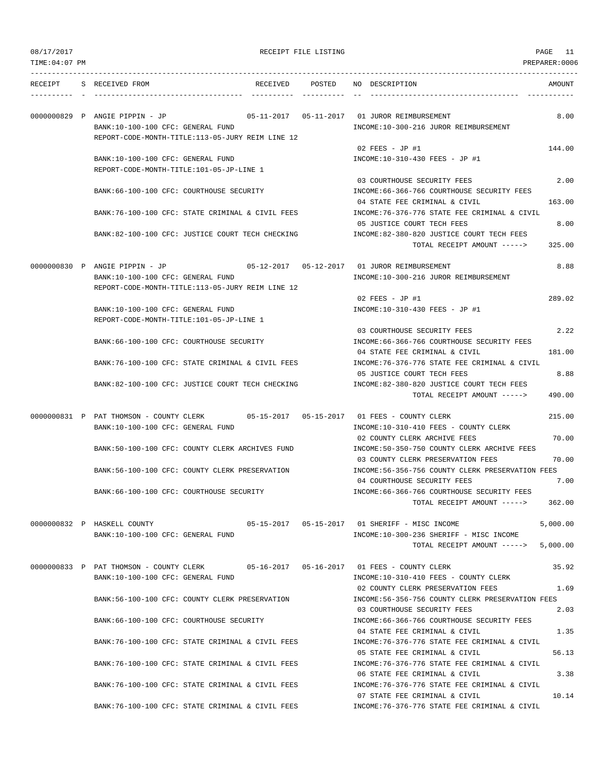RECEIPT FILE LISTING **PAGE** 11

| TIME:04:07 PM |                                                                                      |                                   |        |                                                                                                             | PREPARER:0006  |
|---------------|--------------------------------------------------------------------------------------|-----------------------------------|--------|-------------------------------------------------------------------------------------------------------------|----------------|
| RECEIPT       | S RECEIVED FROM                                                                      | RECEIVED                          | POSTED | NO DESCRIPTION                                                                                              | AMOUNT         |
|               | 0000000829 P ANGIE PIPPIN - JP<br>BANK:10-100-100 CFC: GENERAL FUND                  | $05 - 11 - 2017$ $05 - 11 - 2017$ |        | 01 JUROR REIMBURSEMENT<br>INCOME:10-300-216 JUROR REIMBURSEMENT                                             | 8.00           |
|               | REPORT-CODE-MONTH-TITLE:113-05-JURY REIM LINE 12                                     |                                   |        | $02$ FEES - JP #1                                                                                           | 144.00         |
|               | BANK:10-100-100 CFC: GENERAL FUND                                                    |                                   |        | INCOME:10-310-430 FEES - JP #1                                                                              |                |
|               | REPORT-CODE-MONTH-TITLE:101-05-JP-LINE 1                                             |                                   |        |                                                                                                             |                |
|               | BANK:66-100-100 CFC: COURTHOUSE SECURITY                                             |                                   |        | 03 COURTHOUSE SECURITY FEES<br>INCOME: 66-366-766 COURTHOUSE SECURITY FEES<br>04 STATE FEE CRIMINAL & CIVIL | 2.00<br>163.00 |
|               | BANK:76-100-100 CFC: STATE CRIMINAL & CIVIL FEES                                     |                                   |        | INCOME:76-376-776 STATE FEE CRIMINAL & CIVIL<br>05 JUSTICE COURT TECH FEES                                  | 8.00           |
|               | BANK:82-100-100 CFC: JUSTICE COURT TECH CHECKING                                     |                                   |        | INCOME:82-380-820 JUSTICE COURT TECH FEES<br>TOTAL RECEIPT AMOUNT ----->                                    | 325.00         |
|               | 0000000830 P ANGIE PIPPIN - JP                                                       |                                   |        |                                                                                                             | 8.88           |
|               | BANK:10-100-100 CFC: GENERAL FUND                                                    |                                   |        | INCOME:10-300-216 JUROR REIMBURSEMENT                                                                       |                |
|               | REPORT-CODE-MONTH-TITLE:113-05-JURY REIM LINE 12                                     |                                   |        | 02 FEES - JP #1                                                                                             | 289.02         |
|               | BANK:10-100-100 CFC: GENERAL FUND                                                    |                                   |        | INCOME:10-310-430 FEES - JP #1                                                                              |                |
|               | REPORT-CODE-MONTH-TITLE:101-05-JP-LINE 1                                             |                                   |        |                                                                                                             |                |
|               | BANK: 66-100-100 CFC: COURTHOUSE SECURITY                                            |                                   |        | 03 COURTHOUSE SECURITY FEES<br>INCOME:66-366-766 COURTHOUSE SECURITY FEES                                   | 2.22           |
|               | BANK:76-100-100 CFC: STATE CRIMINAL & CIVIL FEES                                     |                                   |        | 04 STATE FEE CRIMINAL & CIVIL<br>INCOME:76-376-776 STATE FEE CRIMINAL & CIVIL                               | 181.00         |
|               |                                                                                      |                                   |        | 05 JUSTICE COURT TECH FEES                                                                                  | 8.88           |
|               | BANK:82-100-100 CFC: JUSTICE COURT TECH CHECKING                                     |                                   |        | INCOME:82-380-820 JUSTICE COURT TECH FEES<br>TOTAL RECEIPT AMOUNT ----->                                    | 490.00         |
|               | 0000000831 P PAT THOMSON - COUNTY CLERK 05-15-2017 05-15-2017 01 FEES - COUNTY CLERK |                                   |        |                                                                                                             | 215.00         |
|               | BANK:10-100-100 CFC: GENERAL FUND                                                    |                                   |        | INCOME:10-310-410 FEES - COUNTY CLERK<br>02 COUNTY CLERK ARCHIVE FEES                                       | 70.00          |
|               | BANK:50-100-100 CFC: COUNTY CLERK ARCHIVES FUND                                      |                                   |        | INCOME: 50-350-750 COUNTY CLERK ARCHIVE FEES<br>03 COUNTY CLERK PRESERVATION FEES                           | 70.00          |
|               | BANK: 56-100-100 CFC: COUNTY CLERK PRESERVATION                                      |                                   |        | INCOME: 56-356-756 COUNTY CLERK PRESERVATION FEES<br>04 COURTHOUSE SECURITY FEES                            | 7.00           |
|               | BANK:66-100-100 CFC: COURTHOUSE SECURITY                                             |                                   |        | INCOME:66-366-766 COURTHOUSE SECURITY FEES<br>TOTAL RECEIPT AMOUNT ----->                                   | 362.00         |
|               | 0000000832 P HASKELL COUNTY                                                          |                                   |        | 05-15-2017  05-15-2017  01 SHERIFF - MISC INCOME                                                            | 5,000.00       |
|               | BANK:10-100-100 CFC: GENERAL FUND                                                    |                                   |        | INCOME:10-300-236 SHERIFF - MISC INCOME<br>TOTAL RECEIPT AMOUNT ----->                                      | 5,000.00       |
|               | 0000000833 P PAT THOMSON - COUNTY CLERK                                              |                                   |        |                                                                                                             | 35.92          |
|               | BANK:10-100-100 CFC: GENERAL FUND                                                    |                                   |        | INCOME:10-310-410 FEES - COUNTY CLERK<br>02 COUNTY CLERK PRESERVATION FEES                                  | 1.69           |
|               | BANK:56-100-100 CFC: COUNTY CLERK PRESERVATION                                       |                                   |        | INCOME: 56-356-756 COUNTY CLERK PRESERVATION FEES                                                           |                |
|               | BANK:66-100-100 CFC: COURTHOUSE SECURITY                                             |                                   |        | 03 COURTHOUSE SECURITY FEES<br>INCOME: 66-366-766 COURTHOUSE SECURITY FEES                                  | 2.03           |
|               | BANK:76-100-100 CFC: STATE CRIMINAL & CIVIL FEES                                     |                                   |        | 04 STATE FEE CRIMINAL & CIVIL<br>INCOME:76-376-776 STATE FEE CRIMINAL & CIVIL                               | 1.35           |
|               |                                                                                      |                                   |        | 05 STATE FEE CRIMINAL & CIVIL                                                                               | 56.13          |
|               | BANK:76-100-100 CFC: STATE CRIMINAL & CIVIL FEES                                     |                                   |        | INCOME: 76-376-776 STATE FEE CRIMINAL & CIVIL<br>06 STATE FEE CRIMINAL & CIVIL                              | 3.38           |
|               | BANK:76-100-100 CFC: STATE CRIMINAL & CIVIL FEES                                     |                                   |        | INCOME: 76-376-776 STATE FEE CRIMINAL & CIVIL<br>07 STATE FEE CRIMINAL & CIVIL                              | 10.14          |
|               | BANK:76-100-100 CFC: STATE CRIMINAL & CIVIL FEES                                     |                                   |        | INCOME: 76-376-776 STATE FEE CRIMINAL & CIVIL                                                               |                |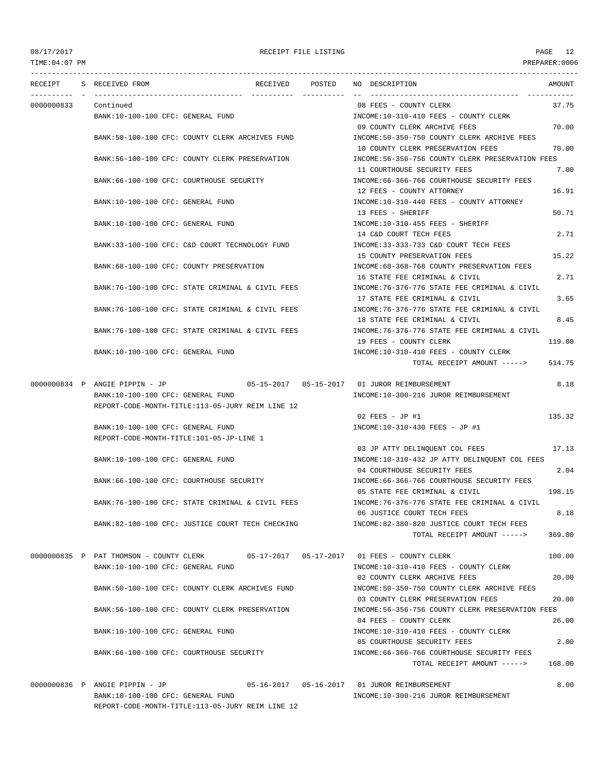TIME:04:07 PM PREPARER:0006 --------------------------------------------------------------------------------------------------------------------------------- RECEIPT S RECEIVED FROM RECEIVED POSTED NO DESCRIPTION AMOUNT ---------- - ----------------------------------- ---------- ---------- -- ----------------------------------- ----------- 0000000833 Continued 08 FEES - COUNTY CLERK 37.75 BANK:10-100-100 CFC: GENERAL FUND INCOME:10-310-410 FEES - COUNTY CLERK 09 COUNTY CLERK ARCHIVE FEES 70.00 BANK:50-100-100 CFC: COUNTY CLERK ARCHIVES FUND INCOME:50-350-750 COUNTY CLERK ARCHIVE FEES 10 COUNTY CLERK PRESERVATION FEES 70.00 BANK:56-100-100 CFC: COUNTY CLERK PRESERVATION INCOME:56-356-756 COUNTY CLERK PRESERVATION FEES 11 COURTHOUSE SECURITY FEES 7.00 BANK:66-100-100 CFC: COURTHOUSE SECURITY INCOME:66-366-766 COURTHOUSE SECURITY FEES 12 FEES - COUNTY ATTORNEY 16.91 BANK:10-100-100 CFC: GENERAL FUND **INCOME:10-310-440 FEES - COUNTY ATTORNEY** 13 FEES - SHERIFF 50.71 BANK:10-100-100 CFC: GENERAL FUND INCOME:10-310-455 FEES - SHERIFF 14 C&D COURT TECH FEES 2.71 BANK:33-100-100 CFC: C&D COURT TECHNOLOGY FUND INCOME:33-333-733 C&D COURT TECH FEES 15 COUNTY PRESERVATION FEES 15.22 BANK:68-100-100 CFC: COUNTY PRESERVATION INCOME:68-368-768 COUNTY PRESERVATION FEES 16 STATE FEE CRIMINAL & CIVIL 2.71 BANK:76-100-100 CFC: STATE CRIMINAL & CIVIL FEES INCOME:76-376-776 STATE FEE CRIMINAL & CIVIL 17 STATE FEE CRIMINAL & CIVIL 3.65 BANK:76-100-100 CFC: STATE CRIMINAL & CIVIL FEES INCOME:76-376-776 STATE FEE CRIMINAL & CIVIL 18 STATE FEE CRIMINAL & CIVIL 8.45 BANK:76-100-100 CFC: STATE CRIMINAL & CIVIL FEES INCOME:76-376-776 STATE FEE CRIMINAL & CIVIL 19 FEES - COUNTY CLERK 119.00 BANK:10-100-100 CFC: GENERAL FUND INCOME:10-310-410 FEES - COUNTY CLERK TOTAL RECEIPT AMOUNT -----> 514.75 0000000834 P ANGIE PIPPIN - JP 05-15-2017 05-15-2017 01 JUROR REIMBURSEMENT 8.18 BANK:10-100-100 CFC: GENERAL FUND INCOME:10-300-216 JUROR REIMBURSEMENT REPORT-CODE-MONTH-TITLE:113-05-JURY REIM LINE 12  $0.2$  FEES - JP #1 135.32 BANK:10-100-100 CFC: GENERAL FUND INCOME:10-310-430 FEES - JP #1 REPORT-CODE-MONTH-TITLE:101-05-JP-LINE 1 03 JP ATTY DELINQUENT COL FEES 17.13 BANK:10-100-100 CFC: GENERAL FUND INCOME:10-310-432 JP ATTY DELINQUENT COL FEES 04 COURTHOUSE SECURITY FEES 2.04 BANK:66-100-100 CFC: COURTHOUSE SECURITY INCOME:66-366-766 COURTHOUSE SECURITY FEES 05 STATE FEE CRIMINAL & CIVIL 198.15 BANK:76-100-100 CFC: STATE CRIMINAL & CIVIL FEES INCOME:76-376-776 STATE FEE CRIMINAL & CIVIL 06 JUSTICE COURT TECH FEES 8.18 BANK:82-100-100 CFC: JUSTICE COURT TECH CHECKING INCOME:82-380-820 JUSTICE COURT TECH FEES TOTAL RECEIPT AMOUNT -----> 369.00 0000000835 P PAT THOMSON - COUNTY CLERK 05-17-2017 05-17-2017 01 FEES - COUNTY CLERK 100.00 BANK:10-100-100 CFC: GENERAL FUND INCOME:10-310-410 FEES - COUNTY CLERK 02 COUNTY CLERK ARCHIVE FEES 20.00 BANK:50-100-100 CFC: COUNTY CLERK ARCHIVES FUND INCOME:50-350-750 COUNTY CLERK ARCHIVE FEES 03 COUNTY CLERK PRESERVATION FEES 20.00 BANK:56-100-100 CFC: COUNTY CLERK PRESERVATION INCOME:56-356-756 COUNTY CLERK PRESERVATION FEES 04 FEES - COUNTY CLERK 26.00 BANK:10-100-100 CFC: GENERAL FUND INCOME:10-310-410 FEES - COUNTY CLERK 05 COURTHOUSE SECURITY FEES 2.00 BANK:66-100-100 CFC: COURTHOUSE SECURITY INCOME:66-366-766 COURTHOUSE SECURITY FEES TOTAL RECEIPT AMOUNT -----> 168.00 0000000836 P ANGIE PIPPIN - JP 05-16-2017 05-16-2017 01 JUROR REIMBURSEMENT 8.00 BANK:10-100-100 CFC: GENERAL FUND INCOME:10-300-216 JUROR REIMBURSEMENT

REPORT-CODE-MONTH-TITLE:113-05-JURY REIM LINE 12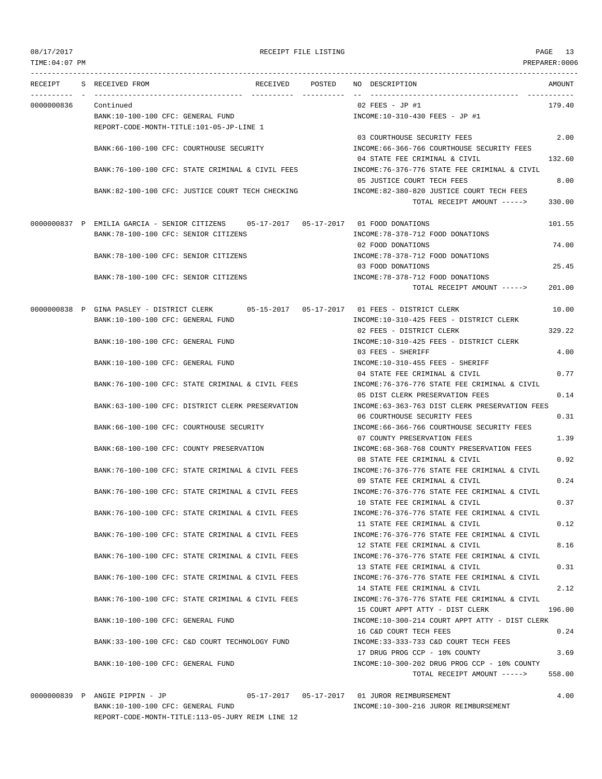TIME:04:07 PM PREPARER:0006 --------------------------------------------------------------------------------------------------------------------------------- RECEIPT S RECEIVED FROM RECEIVED POSTED NO DESCRIPTION AMOUNT ---------- - ----------------------------------- ---------- ---------- -- ----------------------------------- ----------- 0000000836 Continued 02 FEES - JP #1 179.40 BANK:10-100-100 CFC: GENERAL FUND INCOME:10-310-430 FEES - JP #1 REPORT-CODE-MONTH-TITLE:101-05-JP-LINE 1 03 COURTHOUSE SECURITY FEES 2.00 BANK:66-100-100 CFC: COURTHOUSE SECURITY INCOME:66-366-766 COURTHOUSE SECURITY FEES 04 STATE FEE CRIMINAL & CIVIL 132.60 BANK:76-100-100 CFC: STATE CRIMINAL & CIVIL FEES INCOME:76-376-776 STATE FEE CRIMINAL & CIVIL 05 JUSTICE COURT TECH FEES 8.00 BANK:82-100-100 CFC: JUSTICE COURT TECH CHECKING INCOME:82-380-820 JUSTICE COURT TECH FEES TOTAL RECEIPT AMOUNT -----> 330.00 0000000837 P EMILIA GARCIA - SENIOR CITIZENS 05-17-2017 05-17-2017 01 FOOD DONATIONS 101.55 BANK:78-100-100 CFC: SENIOR CITIZENS INCOME:78-378-712 FOOD DONATIONS 02 FOOD DONATIONS 74.00 BANK:78-100-100 CFC: SENIOR CITIZENS INCOME:78-378-712 FOOD DONATIONS 03 FOOD DONATIONS 25.45 BANK:78-100-100 CFC: SENIOR CITIZENS INCOME:78-378-712 FOOD DONATIONS TOTAL RECEIPT AMOUNT -----> 201.00 0000000838 P GINA PASLEY - DISTRICT CLERK 05-15-2017 05-17-2017 01 FEES - DISTRICT CLERK 10.00 BANK:10-100-100 CFC: GENERAL FUND INCOME:10-310-425 FEES - DISTRICT CLERK 02 FEES - DISTRICT CLERK 329.22 BANK:10-100-100 CFC: GENERAL FUND INCOME:10-310-425 FEES - DISTRICT CLERK 03 FEES - SHERIFF 4.00 BANK:10-100-100 CFC: GENERAL FUND INCOME:10-310-455 FEES - SHERIFF 04 STATE FEE CRIMINAL & CIVIL 0.77 BANK:76-100-100 CFC: STATE CRIMINAL & CIVIL FEES INCOME:76-376-776 STATE FEE CRIMINAL & CIVIL 05 DIST CLERK PRESERVATION FEES 0.14 BANK:63-100-100 CFC: DISTRICT CLERK PRESERVATION INCOME:63-363-763 DIST CLERK PRESERVATION FEES 06 COURTHOUSE SECURITY FEES 0.31 BANK:66-100-100 CFC: COURTHOUSE SECURITY INCOME:66-366-766 COURTHOUSE SECURITY FEES 07 COUNTY PRESERVATION FEES 1.39 BANK:68-100-100 CFC: COUNTY PRESERVATION  $\qquad \qquad \qquad \text{INCOME:68-368-768 }$  COUNTY PRESERVATION FEES 08 STATE FEE CRIMINAL & CIVIL 0.92 BANK:76-100-100 CFC: STATE CRIMINAL & CIVIL FEES INCOME:76-376-776 STATE FEE CRIMINAL & CIVIL 09 STATE FEE CRIMINAL & CIVIL 0.24 BANK:76-100-100 CFC: STATE CRIMINAL & CIVIL FEES INCOME:76-376-776 STATE FEE CRIMINAL & CIVIL 10 STATE FEE CRIMINAL & CIVIL 0.37 BANK:76-100-100 CFC: STATE CRIMINAL & CIVIL FEES INCOME:76-376-776 STATE FEE CRIMINAL & CIVIL 11 STATE FEE CRIMINAL & CIVIL 0.12 BANK:76-100-100 CFC: STATE CRIMINAL & CIVIL FEES INCOME:76-376-776 STATE FEE CRIMINAL & CIVIL 12 STATE FEE CRIMINAL & CIVIL 8.16 BANK:76-100-100 CFC: STATE CRIMINAL & CIVIL FEES INCOME:76-376-776 STATE FEE CRIMINAL & CIVIL 13 STATE FEE CRIMINAL & CIVIL 0.31 BANK:76-100-100 CFC: STATE CRIMINAL & CIVIL FEES INCOME:76-376-776 STATE FEE CRIMINAL & CIVIL 14 STATE FEE CRIMINAL & CIVIL 2.12 BANK:76-100-100 CFC: STATE CRIMINAL & CIVIL FEES **INCOME:76-376-776 STATE FEE CRIMINAL & CIVIL** 15 COURT APPT ATTY - DIST CLERK 196.00 BANK:10-100-100 CFC: GENERAL FUND INCOME:10-300-214 COURT APPT ATTY - DIST CLERK 16 C&D COURT TECH FEES 0.24 BANK:33-100-100 CFC: C&D COURT TECHNOLOGY FUND INCOME:33-333-733 C&D COURT TECH FEES 17 DRUG PROG CCP - 10% COUNTY 3.69 BANK:10-100-100 CFC: GENERAL FUND INCOME:10-300-202 DRUG PROG CCP - 10% COUNTY TOTAL RECEIPT AMOUNT -----> 558.00

0000000839 P ANGIE PIPPIN - JP 05-17-2017 05-17-2017 01 JUROR REIMBURSEMENT 4.00 BANK:10-100-100 CFC: GENERAL FUND INCOME:10-300-216 JUROR REIMBURSEMENT REPORT-CODE-MONTH-TITLE:113-05-JURY REIM LINE 12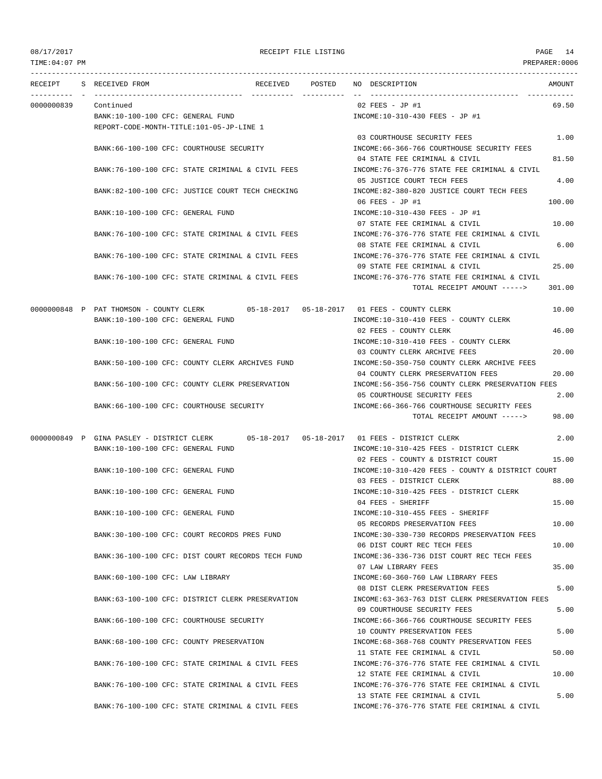TIME:04:07 PM PREPARER:0006 --------------------------------------------------------------------------------------------------------------------------------- RECEIPT S RECEIVED FROM RECEIVED POSTED NO DESCRIPTION AMOUNT ---------- - ----------------------------------- ---------- ---------- -- ----------------------------------- ----------- 0000000839 Continued 02 FEES - JP #1 69.50 BANK:10-100-100 CFC: GENERAL FUND INCOME:10-310-430 FEES - JP #1 REPORT-CODE-MONTH-TITLE:101-05-JP-LINE 1 03 COURTHOUSE SECURITY FEES 1.00 BANK:66-100-100 CFC: COURTHOUSE SECURITY INCOME:66-366-766 COURTHOUSE SECURITY FEES 04 STATE FEE CRIMINAL & CIVIL 81.50 BANK:76-100-100 CFC: STATE CRIMINAL & CIVIL FEES INCOME:76-376-776 STATE FEE CRIMINAL & CIVIL 05 JUSTICE COURT TECH FEES 4.00 BANK:82-100-100 CFC: JUSTICE COURT TECH CHECKING INCOME:82-380-820 JUSTICE COURT TECH FEES 06 FEES - JP #1 100.00 BANK:10-100-100 CFC: GENERAL FUND INCOME:10-310-430 FEES - JP #1 07 STATE FEE CRIMINAL & CIVIL 10.00 BANK:76-100-100 CFC: STATE CRIMINAL & CIVIL FEES INCOME:76-376-776 STATE FEE CRIMINAL & CIVIL 08 STATE FEE CRIMINAL & CIVIL 6.00 BANK:76-100-100 CFC: STATE CRIMINAL & CIVIL FEES INCOME:76-376-776 STATE FEE CRIMINAL & CIVIL 09 STATE FEE CRIMINAL & CIVIL 25.00 BANK:76-100-100 CFC: STATE CRIMINAL & CIVIL FEES INCOME:76-376-776 STATE FEE CRIMINAL & CIVIL TOTAL RECEIPT AMOUNT -----> 301.00 0000000848 P PAT THOMSON - COUNTY CLERK 05-18-2017 05-18-2017 01 FEES - COUNTY CLERK 10.00 BANK:10-100-100 CFC: GENERAL FUND INCOME:10-310-410 FEES - COUNTY CLERK 02 FEES - COUNTY CLERK 46.00 BANK:10-100-100 CFC: GENERAL FUND INCOME:10-310-410 FEES - COUNTY CLERK 03 COUNTY CLERK ARCHIVE FEES 20.00 BANK:50-100-100 CFC: COUNTY CLERK ARCHIVES FUND INCOME:50-350-750 COUNTY CLERK ARCHIVE FEES 04 COUNTY CLERK PRESERVATION FEES 20.00 BANK:56-100-100 CFC: COUNTY CLERK PRESERVATION INCOME:56-356-756 COUNTY CLERK PRESERVATION FEES 05 COURTHOUSE SECURITY FEES 2.00 BANK:66-100-100 CFC: COURTHOUSE SECURITY INCOME:66-366-766 COURTHOUSE SECURITY FEES TOTAL RECEIPT AMOUNT -----> 98.00 0000000849 P GINA PASLEY - DISTRICT CLERK 05-18-2017 05-18-2017 01 FEES - DISTRICT CLERK 2.00 BANK:10-100-100 CFC: GENERAL FUND INCOME:10-310-425 FEES - DISTRICT CLERK 02 FEES - COUNTY & DISTRICT COURT 15.00 BANK:10-100-100 CFC: GENERAL FUND INCOME:10-310-420 FEES - COUNTY & DISTRICT COURT 03 FEES - DISTRICT CLERK 88.00 BANK:10-100-100 CFC: GENERAL FUND INCOME:10-310-425 FEES - DISTRICT CLERK  $04$  FEES - SHERIFF  $15.00$ BANK:10-100-100 CFC: GENERAL FUND INCOME:10-310-455 FEES - SHERIFF 05 RECORDS PRESERVATION FEES 10.00 BANK:30-100-100 CFC: COURT RECORDS PRES FUND INCOME:30-330-730 RECORDS PRESERVATION FEES 06 DIST COURT REC TECH FEES 10.00 BANK:36-100-100 CFC: DIST COURT RECORDS TECH FUND INCOME:36-336-736 DIST COURT REC TECH FEES 07 LAW LIBRARY FEES 35.00 BANK:60-100-100 CFC: LAW LIBRARY INCOME:60-360-760 LAW LIBRARY FEES 08 DIST CLERK PRESERVATION FEES 5.00 BANK:63-100-100 CFC: DISTRICT CLERK PRESERVATION INCOME:63-363-763 DIST CLERK PRESERVATION FEES 09 COURTHOUSE SECURITY FEES 5.00 BANK:66-100-100 CFC: COURTHOUSE SECURITY INCOME:66-366-766 COURTHOUSE SECURITY FEES 10 COUNTY PRESERVATION FEES 5.00 BANK:68-100-100 CFC: COUNTY PRESERVATION CHANGE TROOME:68-368-768 COUNTY PRESERVATION FEES 11 STATE FEE CRIMINAL & CIVIL 60 00 BANK:76-100-100 CFC: STATE CRIMINAL & CIVIL FEES INCOME:76-376-776 STATE FEE CRIMINAL & CIVIL 12 STATE FEE CRIMINAL & CIVIL 10.00 BANK:76-100-100 CFC: STATE CRIMINAL & CIVIL FEES INCOME:76-376-776 STATE FEE CRIMINAL & CIVIL 13 STATE FEE CRIMINAL & CIVIL 5.00 BANK:76-100-100 CFC: STATE CRIMINAL & CIVIL FEES INCOME:76-376-776 STATE FEE CRIMINAL & CIVIL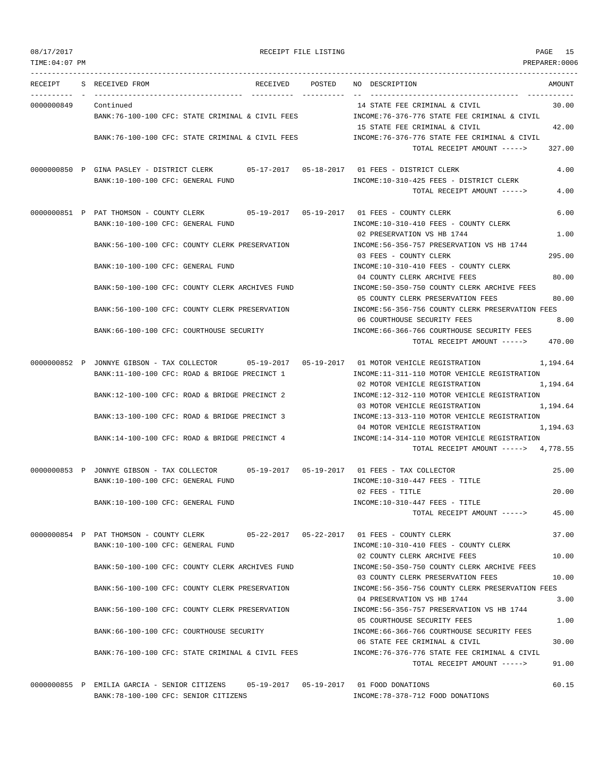| TIME:04:07 PM |                                                                                                |        | PREPARER:0006                                                                         |          |
|---------------|------------------------------------------------------------------------------------------------|--------|---------------------------------------------------------------------------------------|----------|
| RECEIPT       | S RECEIVED FROM<br>RECEIVED                                                                    | POSTED | NO DESCRIPTION                                                                        | AMOUNT   |
|               |                                                                                                |        |                                                                                       |          |
| 0000000849    | Continued                                                                                      |        | 14 STATE FEE CRIMINAL & CIVIL                                                         | 30.00    |
|               | BANK:76-100-100 CFC: STATE CRIMINAL & CIVIL FEES                                               |        | INCOME:76-376-776 STATE FEE CRIMINAL & CIVIL                                          |          |
|               |                                                                                                |        | 15 STATE FEE CRIMINAL & CIVIL                                                         | 42.00    |
|               | BANK:76-100-100 CFC: STATE CRIMINAL & CIVIL FEES                                               |        | INCOME: 76-376-776 STATE FEE CRIMINAL & CIVIL                                         |          |
|               |                                                                                                |        | TOTAL RECEIPT AMOUNT ----->                                                           | 327.00   |
|               | 0000000850 P GINA PASLEY - DISTRICT CLERK 05-17-2017 05-18-2017 01 FEES - DISTRICT CLERK       |        |                                                                                       | 4.00     |
|               | BANK:10-100-100 CFC: GENERAL FUND                                                              |        | INCOME:10-310-425 FEES - DISTRICT CLERK                                               |          |
|               |                                                                                                |        | TOTAL RECEIPT AMOUNT ----->                                                           | 4.00     |
|               | 0000000851 P PAT THOMSON - COUNTY CLERK                                                        |        |                                                                                       | 6.00     |
|               | BANK:10-100-100 CFC: GENERAL FUND                                                              |        | INCOME:10-310-410 FEES - COUNTY CLERK                                                 |          |
|               |                                                                                                |        | 02 PRESERVATION VS HB 1744                                                            | 1.00     |
|               | BANK:56-100-100 CFC: COUNTY CLERK PRESERVATION                                                 |        | INCOME: 56-356-757 PRESERVATION VS HB 1744                                            |          |
|               |                                                                                                |        | 03 FEES - COUNTY CLERK                                                                | 295.00   |
|               | BANK:10-100-100 CFC: GENERAL FUND                                                              |        | INCOME:10-310-410 FEES - COUNTY CLERK                                                 |          |
|               |                                                                                                |        | 04 COUNTY CLERK ARCHIVE FEES                                                          | 80.00    |
|               | BANK:50-100-100 CFC: COUNTY CLERK ARCHIVES FUND                                                |        | INCOME:50-350-750 COUNTY CLERK ARCHIVE FEES                                           |          |
|               | BANK:56-100-100 CFC: COUNTY CLERK PRESERVATION                                                 |        | 05 COUNTY CLERK PRESERVATION FEES<br>INCOME:56-356-756 COUNTY CLERK PRESERVATION FEES | 80.00    |
|               |                                                                                                |        | 06 COURTHOUSE SECURITY FEES                                                           | 8.00     |
|               | BANK:66-100-100 CFC: COURTHOUSE SECURITY                                                       |        | INCOME: 66-366-766 COURTHOUSE SECURITY FEES                                           |          |
|               |                                                                                                |        | TOTAL RECEIPT AMOUNT ----->                                                           | 470.00   |
|               | 0000000852 P JONNYE GIBSON - TAX COLLECTOR 05-19-2017 05-19-2017 01 MOTOR VEHICLE REGISTRATION |        |                                                                                       | 1,194.64 |
|               | BANK:11-100-100 CFC: ROAD & BRIDGE PRECINCT 1                                                  |        | INCOME:11-311-110 MOTOR VEHICLE REGISTRATION                                          |          |
|               |                                                                                                |        | 02 MOTOR VEHICLE REGISTRATION                                                         | 1,194.64 |
|               | BANK:12-100-100 CFC: ROAD & BRIDGE PRECINCT 2                                                  |        | INCOME:12-312-110 MOTOR VEHICLE REGISTRATION                                          |          |
|               |                                                                                                |        | 03 MOTOR VEHICLE REGISTRATION                                                         | 1,194.64 |
|               | BANK:13-100-100 CFC: ROAD & BRIDGE PRECINCT 3                                                  |        | INCOME:13-313-110 MOTOR VEHICLE REGISTRATION                                          |          |
|               | BANK:14-100-100 CFC: ROAD & BRIDGE PRECINCT 4                                                  |        | 04 MOTOR VEHICLE REGISTRATION<br>INCOME:14-314-110 MOTOR VEHICLE REGISTRATION         | 1,194.63 |
|               |                                                                                                |        | TOTAL RECEIPT AMOUNT -----> 4,778.55                                                  |          |
|               |                                                                                                |        |                                                                                       |          |
|               | 0000000853 P JONNYE GIBSON - TAX COLLECTOR 05-19-2017 05-19-2017 01 FEES - TAX COLLECTOR       |        |                                                                                       | 25.00    |
|               | BANK:10-100-100 CFC: GENERAL FUND                                                              |        | INCOME:10-310-447 FEES - TITLE<br>02 FEES - TITLE                                     | 20.00    |
|               | BANK:10-100-100 CFC: GENERAL FUND                                                              |        | INCOME:10-310-447 FEES - TITLE                                                        |          |
|               |                                                                                                |        | TOTAL RECEIPT AMOUNT ----->                                                           | 45.00    |
|               |                                                                                                |        |                                                                                       |          |
|               | 0000000854 P PAT THOMSON - COUNTY CLERK 05-22-2017 05-22-2017 01 FEES - COUNTY CLERK           |        |                                                                                       | 37.00    |
|               | BANK:10-100-100 CFC: GENERAL FUND                                                              |        | INCOME:10-310-410 FEES - COUNTY CLERK                                                 |          |
|               |                                                                                                |        | 02 COUNTY CLERK ARCHIVE FEES                                                          | 10.00    |
|               | BANK:50-100-100 CFC: COUNTY CLERK ARCHIVES FUND                                                |        | INCOME:50-350-750 COUNTY CLERK ARCHIVE FEES<br>03 COUNTY CLERK PRESERVATION FEES      | 10.00    |
|               | BANK:56-100-100 CFC: COUNTY CLERK PRESERVATION                                                 |        | INCOME:56-356-756 COUNTY CLERK PRESERVATION FEES                                      |          |
|               |                                                                                                |        | 04 PRESERVATION VS HB 1744                                                            | 3.00     |
|               | BANK:56-100-100 CFC: COUNTY CLERK PRESERVATION                                                 |        | INCOME: 56-356-757 PRESERVATION VS HB 1744                                            |          |
|               |                                                                                                |        | 05 COURTHOUSE SECURITY FEES                                                           | 1.00     |
|               | BANK:66-100-100 CFC: COURTHOUSE SECURITY                                                       |        | INCOME:66-366-766 COURTHOUSE SECURITY FEES                                            |          |
|               |                                                                                                |        | 06 STATE FEE CRIMINAL & CIVIL                                                         | 30.00    |
|               | BANK:76-100-100 CFC: STATE CRIMINAL & CIVIL FEES                                               |        | INCOME: 76-376-776 STATE FEE CRIMINAL & CIVIL                                         |          |
|               |                                                                                                |        | TOTAL RECEIPT AMOUNT ----->                                                           | 91.00    |
|               | 0000000855 P EMILIA GARCIA - SENIOR CITIZENS 05-19-2017 05-19-2017 01 FOOD DONATIONS           |        |                                                                                       | 60.15    |

BANK:78-100-100 CFC: SENIOR CITIZENS INCOME:78-378-712 FOOD DONATIONS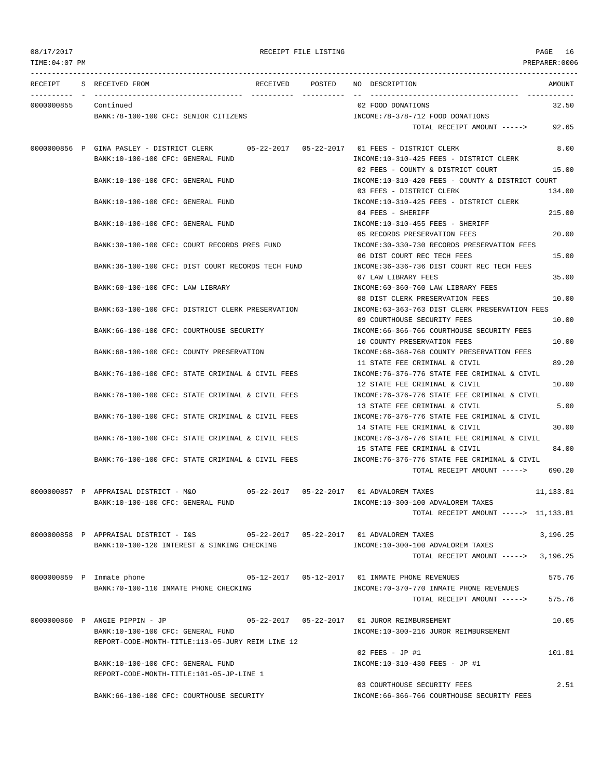TIME:04:07 PM PREPARER:0006 --------------------------------------------------------------------------------------------------------------------------------- RECEIPT S RECEIVED FROM RECEIVED POSTED NO DESCRIPTION AMOUNT ---------- - ----------------------------------- ---------- ---------- -- ----------------------------------- ----------- 0000000855 Continued 02 FOOD DONATIONS 32.50 BANK:78-100-100 CFC: SENIOR CITIZENS  $INCOME:78-378-712$  FOOD DONATIONS TOTAL RECEIPT AMOUNT -----> 92.65 0000000856 P GINA PASLEY - DISTRICT CLERK 05-22-2017 05-22-2017 01 FEES - DISTRICT CLERK 8.00 BANK:10-100-100 CFC: GENERAL FUND INCOME:10-310-425 FEES - DISTRICT CLERK 02 FEES - COUNTY & DISTRICT COURT 15.00 BANK:10-100-100 CFC: GENERAL FUND INCOME:10-310-420 FEES - COUNTY & DISTRICT COURT 03 FEES - DISTRICT CLERK 134.00 BANK:10-100-100 CFC: GENERAL FUND INCOME:10-310-425 FEES - DISTRICT CLERK 04 FEES - SHERIFF 215.00 BANK:10-100-100 CFC: GENERAL FUND **INCOME:10-310-455 FEES - SHERIFF** 05 RECORDS PRESERVATION FEES 20.00 BANK:30-100-100 CFC: COURT RECORDS PRES FUND INCOME:30-330-730 RECORDS PRESERVATION FEES 06 DIST COURT REC TECH FEES 15.00 BANK:36-100-100 CFC: DIST COURT RECORDS TECH FUND INCOME:36-336-736 DIST COURT REC TECH FEES 07 LAW LIBRARY FEES 35.00 BANK:60-100-100 CFC: LAW LIBRARY INCOME:60-360-760 LAW LIBRARY FEES 08 DIST CLERK PRESERVATION FEES 10.00 BANK:63-100-100 CFC: DISTRICT CLERK PRESERVATION INCOME:63-363-763 DIST CLERK PRESERVATION FEES 09 COURTHOUSE SECURITY FEES 10.00 BANK:66-100-100 CFC: COURTHOUSE SECURITY INCOME:66-366-766 COURTHOUSE SECURITY FEES 10 COUNTY PRESERVATION FEES 10.00 BANK:68-100-100 CFC: COUNTY PRESERVATION INCOME:68-368-768 COUNTY PRESERVATION FEES 11 STATE FEE CRIMINAL & CIVIL 89.20 BANK:76-100-100 CFC: STATE CRIMINAL & CIVIL FEES INCOME:76-376-776 STATE FEE CRIMINAL & CIVIL 12 STATE FEE CRIMINAL & CIVIL 10.00 BANK:76-100-100 CFC: STATE CRIMINAL & CIVIL FEES INCOME:76-376-776 STATE FEE CRIMINAL & CIVIL 13 STATE FEE CRIMINAL & CIVIL 5.00 BANK:76-100-100 CFC: STATE CRIMINAL & CIVIL FEES INCOME:76-376-776 STATE FEE CRIMINAL & CIVIL 14 STATE FEE CRIMINAL & CIVIL 30.00 BANK:76-100-100 CFC: STATE CRIMINAL & CIVIL FEES INCOME:76-376-776 STATE FEE CRIMINAL & CIVIL 15 STATE FEE CRIMINAL & CIVIL 84.00 BANK:76-100-100 CFC: STATE CRIMINAL & CIVIL FEES INCOME:76-376-776 STATE FEE CRIMINAL & CIVIL TOTAL RECEIPT AMOUNT -----> 690.20 0000000857 P APPRAISAL DISTRICT - M&O 05-22-2017 05-22-2017 01 ADVALOREM TAXES 11,133.81 BANK:10-100-100 CFC: GENERAL FUND INCOME:10-300-100 ADVALOREM TAXES TOTAL RECEIPT AMOUNT -----> 11,133.81 0000000858 P APPRAISAL DISTRICT - I&S 05-22-2017 05-22-2017 01 ADVALOREM TAXES 3,196.25 BANK:10-100-120 INTEREST & SINKING CHECKING  $INCOME:10-300-100$  ADVALOREM TAXES TOTAL RECEIPT AMOUNT -----> 3,196.25 0000000859 P Inmate phone 05-12-2017 05-12-2017 01 INMATE PHONE REVENUES 575.76 BANK:70-100-110 INMATE PHONE CHECKING INCOME:70-370-770 INMATE PHONE REVENUES TOTAL RECEIPT AMOUNT -----> 575.76 0000000860 P ANGIE PIPPIN - JP 05-22-2017 05-22-2017 01 JUROR REIMBURSEMENT 10.05 BANK:10-100-100 CFC: GENERAL FUND INCOME:10-300-216 JUROR REIMBURSEMENT REPORT-CODE-MONTH-TITLE:113-05-JURY REIM LINE 12  $0.2$  FEES - JP #1 101.81 BANK:10-100-100 CFC: GENERAL FUND INCOME:10-310-430 FEES - JP #1 REPORT-CODE-MONTH-TITLE:101-05-JP-LINE 1 03 COURTHOUSE SECURITY FEES 2.51 BANK:66-100-100 CFC: COURTHOUSE SECURITY INCOME:66-366-766 COURTHOUSE SECURITY FEES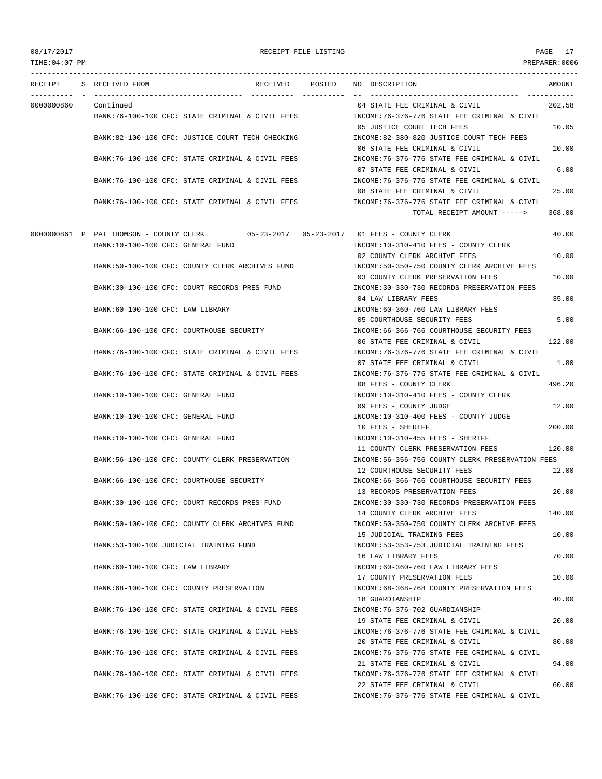TIME:04:07 PM PREPARER:0006 --------------------------------------------------------------------------------------------------------------------------------- RECEIPT S RECEIVED FROM RECEIVED POSTED NO DESCRIPTION AMOUNT ---------- - ----------------------------------- ---------- ---------- -- ----------------------------------- ----------- 0000000860 Continued 04 STATE FEE CRIMINAL & CIVIL 202.58 BANK:76-100-100 CFC: STATE CRIMINAL & CIVIL FEES INCOME:76-376-776 STATE FEE CRIMINAL & CIVIL 05 JUSTICE COURT TECH FEES 10.05 BANK:82-100-100 CFC: JUSTICE COURT TECH CHECKING INCOME:82-380-820 JUSTICE COURT TECH FEES 06 STATE FEE CRIMINAL & CIVIL 10.00 BANK:76-100-100 CFC: STATE CRIMINAL & CIVIL FEES INCOME:76-376-776 STATE FEE CRIMINAL & CIVIL 07 STATE FEE CRIMINAL & CIVIL 6.00 BANK:76-100-100 CFC: STATE CRIMINAL & CIVIL FEES INCOME:76-376-776 STATE FEE CRIMINAL & CIVIL 08 STATE FEE CRIMINAL & CIVIL 25.00 BANK:76-100-100 CFC: STATE CRIMINAL & CIVIL FEES INCOME:76-376-776 STATE FEE CRIMINAL & CIVIL TOTAL RECEIPT AMOUNT -----> 368.00 0000000861 P PAT THOMSON - COUNTY CLERK 05-23-2017 05-23-2017 01 FEES - COUNTY CLERK 40.00 BANK:10-100-100 CFC: GENERAL FUND INCOME:10-310-410 FEES - COUNTY CLERK 02 COUNTY CLERK ARCHIVE FEES 10.00 BANK:50-100-100 CFC: COUNTY CLERK ARCHIVES FUND INCOME:50-350-750 COUNTY CLERK ARCHIVE FEES 03 COUNTY CLERK PRESERVATION FEES 10.00 BANK:30-100-100 CFC: COURT RECORDS PRES FUND INCOME:30-330-730 RECORDS PRESERVATION FEES 04 LAW LIBRARY FEES 35.00 BANK:60-100-100 CFC: LAW LIBRARY INCOME:60-360-760 LAW LIBRARY FEES 05 COURTHOUSE SECURITY FEES 5.00 BANK:66-100-100 CFC: COURTHOUSE SECURITY INCOME:66-366-766 COURTHOUSE SECURITY FEES 06 STATE FEE CRIMINAL & CIVIL 122.00 BANK:76-100-100 CFC: STATE CRIMINAL & CIVIL FEES INCOME:76-376-776 STATE FEE CRIMINAL & CIVIL 07 STATE FEE CRIMINAL & CIVIL 1.80 BANK:76-100-100 CFC: STATE CRIMINAL & CIVIL FEES INCOME:76-376-776 STATE FEE CRIMINAL & CIVIL 08 FEES - COUNTY CLERK 496.20 BANK:10-100-100 CFC: GENERAL FUND INCOME:10-310-410 FEES - COUNTY CLERK 09 FEES - COUNTY JUDGE 12.00 BANK:10-100-100 CFC: GENERAL FUND INCOME:10-310-400 FEES - COUNTY JUDGE 10 FEES - SHERIFF 200.00 BANK:10-100-100 CFC: GENERAL FUND INCOME:10-310-455 FEES - SHERIFF 11 COUNTY CLERK PRESERVATION FEES 120.00 BANK:56-100-100 CFC: COUNTY CLERK PRESERVATION INCOME:56-356-756 COUNTY CLERK PRESERVATION FEES 12 COURTHOUSE SECURITY FEES 12.00 BANK:66-100-100 CFC: COURTHOUSE SECURITY INCOME:66-366-766 COURTHOUSE SECURITY FEES 13 RECORDS PRESERVATION FEES 20.00 BANK:30-100-100 CFC: COURT RECORDS PRES FUND INCOME:30-330-730 RECORDS PRESERVATION FEES 14 COUNTY CLERK ARCHIVE FEES 140.00 BANK:50-100-100 CFC: COUNTY CLERK ARCHIVES FUND INCOME:50-350-750 COUNTY CLERK ARCHIVE FEES 15 JUDICIAL TRAINING FEES 10.00 BANK:53-100-100 JUDICIAL TRAINING FUND **INCOME:53-353-753 JUDICIAL TRAINING FEES** 16 LAW LIBRARY FEES 70.00 BANK:60-100-100 CFC: LAW LIBRARY INCOME:60-360-760 LAW LIBRARY FEES 17 COUNTY PRESERVATION FEES 10.00 BANK:68-100-100 CFC: COUNTY PRESERVATION INCOME:68-368-768 COUNTY PRESERVATION FEES 18 GUARDIANSHIP 40.00 BANK:76-100-100 CFC: STATE CRIMINAL & CIVIL FEES INCOME:76-376-702 GUARDIANSHIP 19 STATE FEE CRIMINAL & CIVIL 20.00 BANK:76-100-100 CFC: STATE CRIMINAL & CIVIL FEES INCOME:76-376-776 STATE FEE CRIMINAL & CIVIL 20 STATE FEE CRIMINAL & CIVIL 80.00 BANK:76-100-100 CFC: STATE CRIMINAL & CIVIL FEES INCOME:76-376-776 STATE FEE CRIMINAL & CIVIL 21 STATE FEE CRIMINAL & CIVIL 94.00 BANK:76-100-100 CFC: STATE CRIMINAL & CIVIL FEES INCOME:76-376-776 STATE FEE CRIMINAL & CIVIL 22 STATE FEE CRIMINAL & CIVIL 60.00 BANK:76-100-100 CFC: STATE CRIMINAL & CIVIL FEES INCOME:76-376-776 STATE FEE CRIMINAL & CIVIL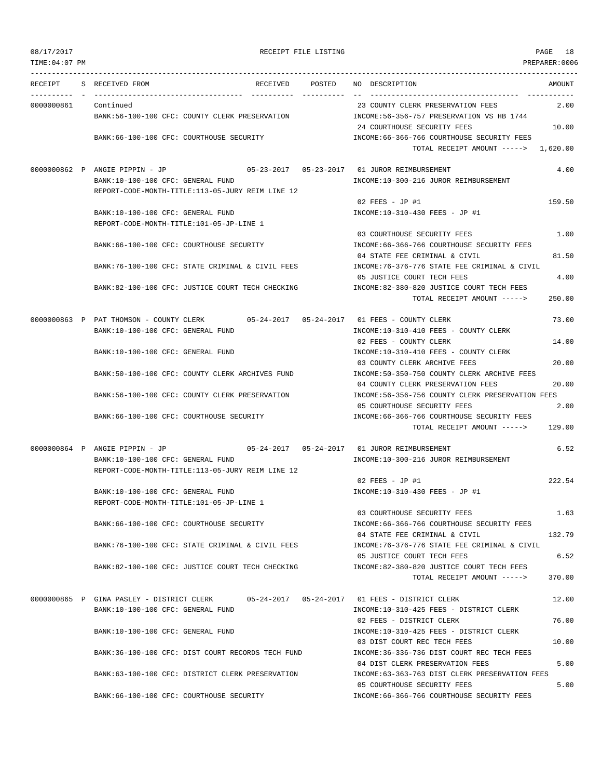## RECEIPT FILE LISTING **PAGE** 18

| RECEIPT                  | S RECEIVED FROM<br>RECEIVED                                                          | POSTED | NO DESCRIPTION                                                                      | AMOUNT |
|--------------------------|--------------------------------------------------------------------------------------|--------|-------------------------------------------------------------------------------------|--------|
| -------- -<br>0000000861 | Continued                                                                            |        | 23 COUNTY CLERK PRESERVATION FEES                                                   | 2.00   |
|                          | BANK:56-100-100 CFC: COUNTY CLERK PRESERVATION                                       |        | INCOME: 56-356-757 PRESERVATION VS HB 1744<br>24 COURTHOUSE SECURITY FEES           | 10.00  |
|                          | BANK:66-100-100 CFC: COURTHOUSE SECURITY                                             |        | INCOME: 66-366-766 COURTHOUSE SECURITY FEES<br>TOTAL RECEIPT AMOUNT -----> 1,620.00 |        |
|                          |                                                                                      |        |                                                                                     |        |
|                          | 0000000862 P ANGIE PIPPIN - JP<br>BANK:10-100-100 CFC: GENERAL FUND                  |        | INCOME:10-300-216 JUROR REIMBURSEMENT                                               | 4.00   |
|                          | REPORT-CODE-MONTH-TITLE:113-05-JURY REIM LINE 12                                     |        |                                                                                     |        |
|                          |                                                                                      |        | 02 FEES - JP #1                                                                     | 159.50 |
|                          | BANK:10-100-100 CFC: GENERAL FUND                                                    |        | INCOME:10-310-430 FEES - JP #1                                                      |        |
|                          | REPORT-CODE-MONTH-TITLE:101-05-JP-LINE 1                                             |        |                                                                                     |        |
|                          |                                                                                      |        | 03 COURTHOUSE SECURITY FEES                                                         | 1.00   |
|                          | BANK:66-100-100 CFC: COURTHOUSE SECURITY                                             |        | INCOME: 66-366-766 COURTHOUSE SECURITY FEES                                         |        |
|                          |                                                                                      |        | 04 STATE FEE CRIMINAL & CIVIL                                                       | 81.50  |
|                          | BANK:76-100-100 CFC: STATE CRIMINAL & CIVIL FEES                                     |        | INCOME: 76-376-776 STATE FEE CRIMINAL & CIVIL                                       |        |
|                          |                                                                                      |        | 05 JUSTICE COURT TECH FEES                                                          | 4.00   |
|                          | BANK:82-100-100 CFC: JUSTICE COURT TECH CHECKING                                     |        | INCOME:82-380-820 JUSTICE COURT TECH FEES                                           |        |
|                          |                                                                                      |        | TOTAL RECEIPT AMOUNT ----->                                                         | 250.00 |
|                          | 0000000863 P PAT THOMSON - COUNTY CLERK 05-24-2017 05-24-2017 01 FEES - COUNTY CLERK |        |                                                                                     | 73.00  |
|                          | BANK:10-100-100 CFC: GENERAL FUND                                                    |        | INCOME:10-310-410 FEES - COUNTY CLERK                                               |        |
|                          |                                                                                      |        | 02 FEES - COUNTY CLERK                                                              | 14.00  |
|                          | BANK:10-100-100 CFC: GENERAL FUND                                                    |        | INCOME:10-310-410 FEES - COUNTY CLERK                                               |        |
|                          |                                                                                      |        | 03 COUNTY CLERK ARCHIVE FEES                                                        | 20.00  |
|                          | BANK:50-100-100 CFC: COUNTY CLERK ARCHIVES FUND                                      |        | INCOME: 50-350-750 COUNTY CLERK ARCHIVE FEES                                        |        |
|                          |                                                                                      |        | 04 COUNTY CLERK PRESERVATION FEES                                                   | 20.00  |
|                          | BANK:56-100-100 CFC: COUNTY CLERK PRESERVATION                                       |        | INCOME:56-356-756 COUNTY CLERK PRESERVATION FEES                                    |        |
|                          | BANK:66-100-100 CFC: COURTHOUSE SECURITY                                             |        | 05 COURTHOUSE SECURITY FEES<br>INCOME:66-366-766 COURTHOUSE SECURITY FEES           | 2.00   |
|                          |                                                                                      |        | TOTAL RECEIPT AMOUNT ----->                                                         | 129.00 |
|                          | 0000000864 P ANGIE PIPPIN - JP                                                       |        | 05-24-2017   05-24-2017   01   JUROR REIMBURSEMENT                                  | 6.52   |
|                          | BANK:10-100-100 CFC: GENERAL FUND                                                    |        | INCOME:10-300-216 JUROR REIMBURSEMENT                                               |        |
|                          | REPORT-CODE-MONTH-TITLE:113-05-JURY REIM LINE 12                                     |        |                                                                                     |        |
|                          |                                                                                      |        | 02 FEES - JP #1                                                                     | 222.54 |
|                          | BANK:10-100-100 CFC: GENERAL FUND                                                    |        | INCOME:10-310-430 FEES - JP #1                                                      |        |
|                          | REPORT-CODE-MONTH-TITLE:101-05-JP-LINE 1                                             |        |                                                                                     |        |
|                          |                                                                                      |        | 03 COURTHOUSE SECURITY FEES                                                         | 1.63   |
|                          | BANK:66-100-100 CFC: COURTHOUSE SECURITY                                             |        | INCOME: 66-366-766 COURTHOUSE SECURITY FEES                                         |        |
|                          |                                                                                      |        | 04 STATE FEE CRIMINAL & CIVIL                                                       | 132.79 |
|                          | BANK:76-100-100 CFC: STATE CRIMINAL & CIVIL FEES                                     |        | INCOME: 76-376-776 STATE FEE CRIMINAL & CIVIL                                       |        |
|                          | BANK:82-100-100 CFC: JUSTICE COURT TECH CHECKING                                     |        | 05 JUSTICE COURT TECH FEES<br>INCOME:82-380-820 JUSTICE COURT TECH FEES             | 6.52   |
|                          |                                                                                      |        | TOTAL RECEIPT AMOUNT ----->                                                         | 370.00 |
|                          |                                                                                      |        |                                                                                     |        |
|                          | 0000000865 P GINA PASLEY - DISTRICT CLERK                                            |        |                                                                                     | 12.00  |
|                          | BANK:10-100-100 CFC: GENERAL FUND                                                    |        | INCOME:10-310-425 FEES - DISTRICT CLERK                                             |        |
|                          |                                                                                      |        | 02 FEES - DISTRICT CLERK                                                            | 76.00  |
|                          | BANK:10-100-100 CFC: GENERAL FUND                                                    |        | INCOME:10-310-425 FEES - DISTRICT CLERK                                             |        |
|                          |                                                                                      |        | 03 DIST COURT REC TECH FEES                                                         | 10.00  |
|                          | BANK:36-100-100 CFC: DIST COURT RECORDS TECH FUND                                    |        | INCOME: 36-336-736 DIST COURT REC TECH FEES                                         |        |
|                          |                                                                                      |        | 04 DIST CLERK PRESERVATION FEES                                                     | 5.00   |
|                          | BANK:63-100-100 CFC: DISTRICT CLERK PRESERVATION                                     |        | INCOME:63-363-763 DIST CLERK PRESERVATION FEES                                      |        |
|                          |                                                                                      |        | 05 COURTHOUSE SECURITY FEES                                                         | 5.00   |
|                          | BANK:66-100-100 CFC: COURTHOUSE SECURITY                                             |        | INCOME: 66-366-766 COURTHOUSE SECURITY FEES                                         |        |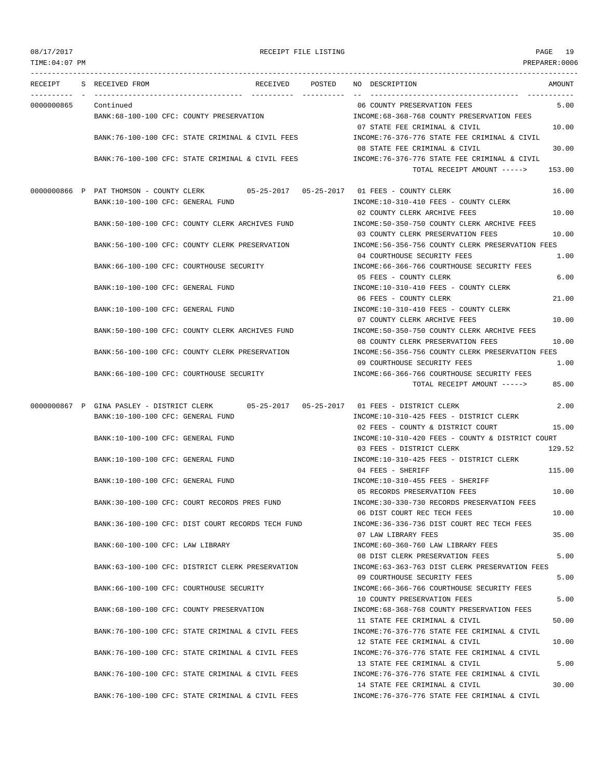TIME:04:07 PM PREPARER:0006 --------------------------------------------------------------------------------------------------------------------------------- RECEIPT S RECEIVED FROM RECEIVED POSTED NO DESCRIPTION AMOUNT ---------- - ----------------------------------- ---------- ---------- -- ----------------------------------- ----------- 0000000865 Continued 06 COUNTY PRESERVATION FEES 5.00 BANK:68-100-100 CFC: COUNTY PRESERVATION INCOME:68-368-768 COUNTY PRESERVATION FEES 07 STATE FEE CRIMINAL & CIVIL 10.00 BANK:76-100-100 CFC: STATE CRIMINAL & CIVIL FEES INCOME:76-376-776 STATE FEE CRIMINAL & CIVIL 08 STATE FEE CRIMINAL & CIVIL 30.00 BANK:76-100-100 CFC: STATE CRIMINAL & CIVIL FEES INCOME:76-376-776 STATE FEE CRIMINAL & CIVIL TOTAL RECEIPT AMOUNT -----> 153.00 0000000866 P PAT THOMSON - COUNTY CLERK 05-25-2017 05-25-2017 01 FEES - COUNTY CLERK 16.00 BANK:10-100-100 CFC: GENERAL FUND INCOME:10-310-410 FEES - COUNTY CLERK 02 COUNTY CLERK ARCHIVE FEES 10.00 BANK:50-100-100 CFC: COUNTY CLERK ARCHIVES FUND INCOME:50-350-750 COUNTY CLERK ARCHIVE FEES 03 COUNTY CLERK PRESERVATION FEES 10.00 BANK:56-100-100 CFC: COUNTY CLERK PRESERVATION INCOME:56-356-756 COUNTY CLERK PRESERVATION FEES 04 COURTHOUSE SECURITY FEES 1.00 BANK:66-100-100 CFC: COURTHOUSE SECURITY INCOME:66-366-766 COURTHOUSE SECURITY FEES 05 FEES - COUNTY CLERK 6.00 BANK:10-100-100 CFC: GENERAL FUND INCOME:10-310-410 FEES - COUNTY CLERK 06 FEES - COUNTY CLERK 21.00 BANK:10-100-100 CFC: GENERAL FUND INCOME:10-310-410 FEES - COUNTY CLERK 07 COUNTY CLERK ARCHIVE FEES 10.00 BANK:50-100-100 CFC: COUNTY CLERK ARCHIVES FUND INCOME:50-350-750 COUNTY CLERK ARCHIVE FEES 08 COUNTY CLERK PRESERVATION FEES 10.00 BANK:56-100-100 CFC: COUNTY CLERK PRESERVATION INCOME:56-356-756 COUNTY CLERK PRESERVATION FEES 09 COURTHOUSE SECURITY FEES 1.00 BANK:66-100-100 CFC: COURTHOUSE SECURITY INCOME:66-366-766 COURTHOUSE SECURITY FEES TOTAL RECEIPT AMOUNT -----> 85.00 0000000867 P GINA PASLEY - DISTRICT CLERK 05-25-2017 05-25-2017 01 FEES - DISTRICT CLERK 2.00 BANK:10-100-100 CFC: GENERAL FUND INCOME:10-310-425 FEES - DISTRICT CLERK 02 FEES - COUNTY & DISTRICT COURT 15.00 BANK:10-100-100 CFC: GENERAL FUND INCOME:10-310-420 FEES - COUNTY & DISTRICT COURT 03 FEES - DISTRICT CLERK 129.52 BANK:10-100-100 CFC: GENERAL FUND INCOME:10-310-425 FEES - DISTRICT CLERK 04 FEES - SHERIFF 115.00 BANK:10-100-100 CFC: GENERAL FUND INCOME:10-310-455 FEES - SHERIFF 05 RECORDS PRESERVATION FEES 10.00 BANK:30-100-100 CFC: COURT RECORDS PRES FUND INCOME:30-330-730 RECORDS PRESERVATION FEES 06 DIST COURT REC TECH FEES 10.00 BANK:36-100-100 CFC: DIST COURT RECORDS TECH FUND **INCOME:36-336-736 DIST COURT REC TECH FEES** 07 LAW LIBRARY FEES 35.00 BANK:60-100-100 CFC: LAW LIBRARY **INCOME:60-360-760 LAW LIBRARY FEES** 08 DIST CLERK PRESERVATION FEES 5.00 BANK:63-100-100 CFC: DISTRICT CLERK PRESERVATION INCOME:63-363-763 DIST CLERK PRESERVATION FEES 09 COURTHOUSE SECURITY FEES 5.00 BANK:66-100-100 CFC: COURTHOUSE SECURITY INCOME:66-366-766 COURTHOUSE SECURITY FEES 10 COUNTY PRESERVATION FEES 5.00 BANK:68-100-100 CFC: COUNTY PRESERVATION INCOME:68-368-768 COUNTY PRESERVATION FEES 11 STATE FEE CRIMINAL & CIVIL 50.00 BANK:76-100-100 CFC: STATE CRIMINAL & CIVIL FEES INCOME:76-376-776 STATE FEE CRIMINAL & CIVIL 12 STATE FEE CRIMINAL & CIVIL 10.00 BANK:76-100-100 CFC: STATE CRIMINAL & CIVIL FEES INCOME:76-376-776 STATE FEE CRIMINAL & CIVIL 13 STATE FEE CRIMINAL & CIVIL 5.00 BANK:76-100-100 CFC: STATE CRIMINAL & CIVIL FEES INCOME:76-376-776 STATE FEE CRIMINAL & CIVIL 14 STATE FEE CRIMINAL & CIVIL 30.00 BANK:76-100-100 CFC: STATE CRIMINAL & CIVIL FEES INCOME:76-376-776 STATE FEE CRIMINAL & CIVIL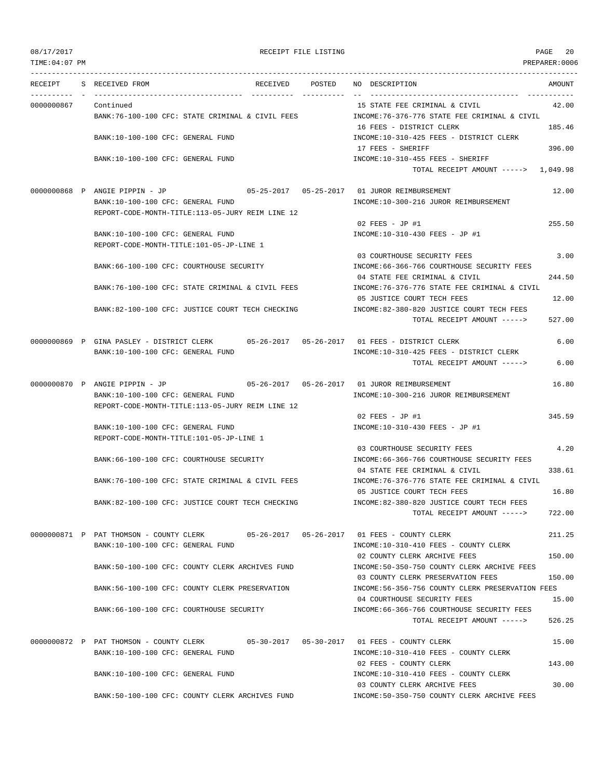TIME:04:07 PM PREPARER:0006

### 08/17/2017 RECEIPT FILE LISTING PAGE 20

--------------------------------------------------------------------------------------------------------------------------------- RECEIPT S RECEIVED FROM RECEIVED POSTED NO DESCRIPTION AMOUNT ---------- - ----------------------------------- ---------- ---------- -- ----------------------------------- ----------- 0000000867 Continued 15 STATE FEE CRIMINAL & CIVIL 42.00 BANK:76-100-100 CFC: STATE CRIMINAL & CIVIL FEES INCOME:76-376-776 STATE FEE CRIMINAL & CIVIL 16 FEES - DISTRICT CLERK 185.46 BANK:10-100-100 CFC: GENERAL FUND INCOME:10-310-425 FEES - DISTRICT CLERK 17 FEES - SHERIFF 396.00 BANK:10-100-100 CFC: GENERAL FUND INCOME:10-310-455 FEES - SHERIFF TOTAL RECEIPT AMOUNT -----> 1,049.98 0000000868 P ANGIE PIPPIN - JP 05-25-2017 05-25-2017 01 JUROR REIMBURSEMENT 12.00 BANK:10-100-100 CFC: GENERAL FUND INCOME:10-300-216 JUROR REIMBURSEMENT REPORT-CODE-MONTH-TITLE:113-05-JURY REIM LINE 12 02 FEES - JP #1 255.50 BANK:10-100-100 CFC: GENERAL FUND INCOME:10-310-430 FEES - JP #1 REPORT-CODE-MONTH-TITLE:101-05-JP-LINE 1 03 COURTHOUSE SECURITY FEES 3.00 BANK:66-100-100 CFC: COURTHOUSE SECURITY INCOME:66-366-766 COURTHOUSE SECURITY FEES 04 STATE FEE CRIMINAL & CIVIL 244.50 BANK:76-100-100 CFC: STATE CRIMINAL & CIVIL FEES INCOME:76-376-776 STATE FEE CRIMINAL & CIVIL 05 JUSTICE COURT TECH FEES 12.00 BANK:82-100-100 CFC: JUSTICE COURT TECH CHECKING INCOME:82-380-820 JUSTICE COURT TECH FEES TOTAL RECEIPT AMOUNT -----> 527.00 0000000869 P GINA PASLEY - DISTRICT CLERK 05-26-2017 05-26-2017 01 FEES - DISTRICT CLERK 6.00 BANK:10-100-100 CFC: GENERAL FUND INCOME:10-310-425 FEES - DISTRICT CLERK TOTAL RECEIPT AMOUNT -----> 6.00 0000000870 P ANGIE PIPPIN - JP 05-26-2017 05-26-2017 01 JUROR REIMBURSEMENT 16.80 BANK:10-100-100 CFC: GENERAL FUND INCOME:10-300-216 JUROR REIMBURSEMENT REPORT-CODE-MONTH-TITLE:113-05-JURY REIM LINE 12  $02$  FEES - JP #1 345.59 BANK:10-100-100 CFC: GENERAL FUND INCOME:10-310-430 FEES - JP #1 REPORT-CODE-MONTH-TITLE:101-05-JP-LINE 1 03 COURTHOUSE SECURITY FEES 4.20 BANK:66-100-100 CFC: COURTHOUSE SECURITY INCOME:66-366-766 COURTHOUSE SECURITY FEES 04 STATE FEE CRIMINAL & CIVIL 338.61 BANK:76-100-100 CFC: STATE CRIMINAL & CIVIL FEES INCOME:76-376-776 STATE FEE CRIMINAL & CIVIL 05 JUSTICE COURT TECH FEES 16.80 BANK:82-100-100 CFC: JUSTICE COURT TECH CHECKING INCOME:82-380-820 JUSTICE COURT TECH FEES TOTAL RECEIPT AMOUNT -----> 722.00 0000000871 P PAT THOMSON - COUNTY CLERK 05-26-2017 05-26-2017 01 FEES - COUNTY CLERK 211.25 BANK:10-100-100 CFC: GENERAL FUND INCOME:10-310-410 FEES - COUNTY CLERK 02 COUNTY CLERK ARCHIVE FEES 150.00 BANK:50-100-100 CFC: COUNTY CLERK ARCHIVES FUND INCOME:50-350-750 COUNTY CLERK ARCHIVE FEES 03 COUNTY CLERK PRESERVATION FEES 150.00 BANK:56-100-100 CFC: COUNTY CLERK PRESERVATION INCOME:56-356-756 COUNTY CLERK PRESERVATION FEES 04 COURTHOUSE SECURITY FEES 15.00 BANK:66-100-100 CFC: COURTHOUSE SECURITY **INCOME:66-366-766 COURTHOUSE SECURITY FEES** TOTAL RECEIPT AMOUNT -----> 526.25 0000000872 P PAT THOMSON - COUNTY CLERK 05-30-2017 05-30-2017 01 FEES - COUNTY CLERK 15.00 BANK:10-100-100 CFC: GENERAL FUND INCOME:10-310-410 FEES - COUNTY CLERK 02 FEES - COUNTY CLERK 143.00 BANK:10-100-100 CFC: GENERAL FUND INCOME:10-310-410 FEES - COUNTY CLERK 03 COUNTY CLERK ARCHIVE FEES 30.00 BANK:50-100-100 CFC: COUNTY CLERK ARCHIVES FUND INCOME:50-350-750 COUNTY CLERK ARCHIVE FEES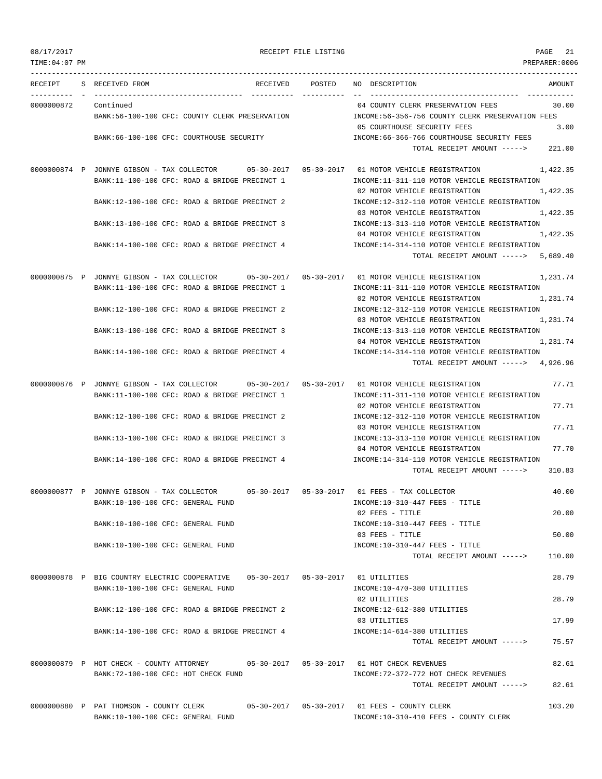TIME:04:07 PM PREPARER:0006 --------------------------------------------------------------------------------------------------------------------------------- RECEIPT S RECEIVED FROM THE RECEIVED POSTED NO DESCRIPTION THE RECEIVED AMOUNT ---------- - ----------------------------------- ---------- ---------- -- ----------------------------------- ----------- 0000000872 Continued 04 COUNTY CLERK PRESERVATION FEES 30.00 BANK:56-100-100 CFC: COUNTY CLERK PRESERVATION INCOME:56-356-756 COUNTY CLERK PRESERVATION FEES 05 COURTHOUSE SECURITY FEES 3.00 BANK:66-100-100 CFC: COURTHOUSE SECURITY INCOME:66-366-766 COURTHOUSE SECURITY FEES TOTAL RECEIPT AMOUNT -----> 221.00 0000000874 P JONNYE GIBSON - TAX COLLECTOR 05-30-2017 05-30-2017 01 MOTOR VEHICLE REGISTRATION 1,422.35 BANK:11-100-100 CFC: ROAD & BRIDGE PRECINCT 1 INCOME:11-311-110 MOTOR VEHICLE REGISTRATION 02 MOTOR VEHICLE REGISTRATION 1,422.35 BANK:12-100-100 CFC: ROAD & BRIDGE PRECINCT 2 INCOME:12-312-110 MOTOR VEHICLE REGISTRATION 03 MOTOR VEHICLE REGISTRATION 1,422.35 BANK:13-100-100 CFC: ROAD & BRIDGE PRECINCT 3 INCOME:13-313-110 MOTOR VEHICLE REGISTRATION 04 MOTOR VEHICLE REGISTRATION 1,422.35 BANK:14-100-100 CFC: ROAD & BRIDGE PRECINCT 4 INCOME:14-314-110 MOTOR VEHICLE REGISTRATION TOTAL RECEIPT AMOUNT -----> 5,689.40 0000000875 P JONNYE GIBSON - TAX COLLECTOR 05-30-2017 05-30-2017 01 MOTOR VEHICLE REGISTRATION 1,231.74 BANK:11-100-100 CFC: ROAD & BRIDGE PRECINCT 1 INCOME:11-311-110 MOTOR VEHICLE REGISTRATION 02 MOTOR VEHICLE REGISTRATION 1,231.74 BANK:12-100-100 CFC: ROAD & BRIDGE PRECINCT 2 INCOME:12-312-110 MOTOR VEHICLE REGISTRATION 03 MOTOR VEHICLE REGISTRATION 1,231.74 BANK:13-100-100 CFC: ROAD & BRIDGE PRECINCT 3 INCOME:13-313-110 MOTOR VEHICLE REGISTRATION 04 MOTOR VEHICLE REGISTRATION 1,231.74 BANK:14-100-100 CFC: ROAD & BRIDGE PRECINCT 4 INCOME:14-314-110 MOTOR VEHICLE REGISTRATION TOTAL RECEIPT AMOUNT -----> 4,926.96 0000000876 P JONNYE GIBSON - TAX COLLECTOR 05-30-2017 05-30-2017 01 MOTOR VEHICLE REGISTRATION 77.71 BANK:11-100-100 CFC: ROAD & BRIDGE PRECINCT 1 INCOME:11-311-110 MOTOR VEHICLE REGISTRATION 02 MOTOR VEHICLE REGISTRATION 77.71 BANK:12-100-100 CFC: ROAD & BRIDGE PRECINCT 2 INCOME:12-312-110 MOTOR VEHICLE REGISTRATION 03 MOTOR VEHICLE REGISTRATION 77.71 BANK:13-100-100 CFC: ROAD & BRIDGE PRECINCT 3 INCOME:13-313-110 MOTOR VEHICLE REGISTRATION 04 MOTOR VEHICLE REGISTRATION 77.70 BANK:14-100-100 CFC: ROAD & BRIDGE PRECINCT 4 INCOME:14-314-110 MOTOR VEHICLE REGISTRATION TOTAL RECEIPT AMOUNT -----> 310.83 0000000877 P JONNYE GIBSON - TAX COLLECTOR 05-30-2017 05-30-2017 01 FEES - TAX COLLECTOR 40.00 BANK:10-100-100 CFC: GENERAL FUND INCOME:10-310-447 FEES - TITLE 02 FEES - TITLE 20.00 BANK:10-100-100 CFC: GENERAL FUND INCOME:10-310-447 FEES - TITLE 03 FEES - TITLE 50.00 BANK:10-100-100 CFC: GENERAL FUND **INCOME:10-310-447 FEES** - TITLE TOTAL RECEIPT AMOUNT -----> 110.00 0000000878 P BIG COUNTRY ELECTRIC COOPERATIVE 05-30-2017 05-30-2017 01 UTILITIES 28.79 BANK:10-100-100 CFC: GENERAL FUND SANK:10-470-380 UTILITIES 02 UTILITIES 28.79 BANK:12-100-100 CFC: ROAD & BRIDGE PRECINCT 2 INCOME:12-612-380 UTILITIES 03 UTILITIES 17.99 BANK:14-100-100 CFC: ROAD & BRIDGE PRECINCT 4 INCOME:14-614-380 UTILITIES TOTAL RECEIPT AMOUNT -----> 75.57 0000000879 P HOT CHECK - COUNTY ATTORNEY 05-30-2017 05-30-2017 01 HOT CHECK REVENUES 82.61 BANK:72-100-100 CFC: HOT CHECK FUND INCOME:72-372-772 HOT CHECK REVENUES TOTAL RECEIPT AMOUNT -----> 82.61 0000000880 P PAT THOMSON - COUNTY CLERK 05-30-2017 05-30-2017 01 FEES - COUNTY CLERK 103.20 BANK:10-100-100 CFC: GENERAL FUND INCOME:10-310-410 FEES - COUNTY CLERK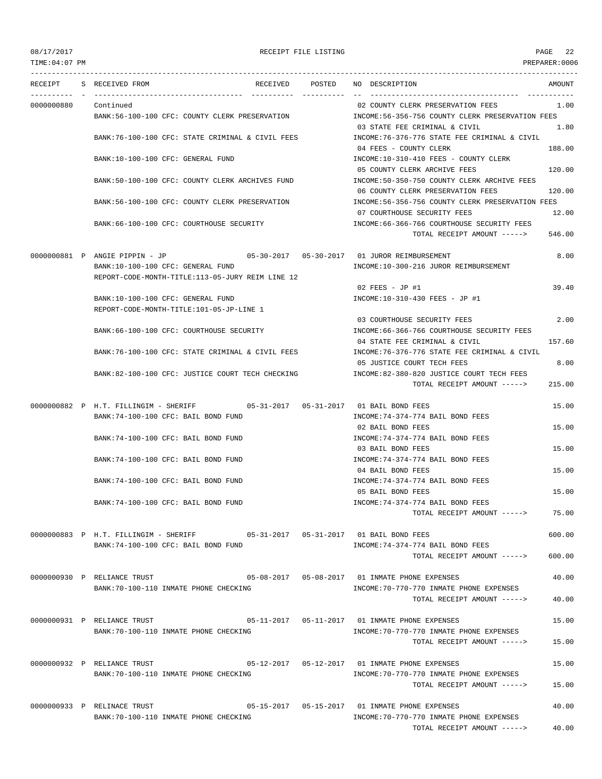TIME:04:07 PM PREPARER:0006

## 08/17/2017 RECEIPT FILE LISTING PAGE 22

| RECEIPT    | S RECEIVED FROM<br>RECEIVED                                                                                           | POSTED | NO DESCRIPTION                                                                        | <b>AMOUNT</b> |
|------------|-----------------------------------------------------------------------------------------------------------------------|--------|---------------------------------------------------------------------------------------|---------------|
| 0000000880 | Continued                                                                                                             |        | 02 COUNTY CLERK PRESERVATION FEES                                                     | 1.00          |
|            | BANK:56-100-100 CFC: COUNTY CLERK PRESERVATION                                                                        |        | INCOME:56-356-756 COUNTY CLERK PRESERVATION FEES                                      |               |
|            | BANK:76-100-100 CFC: STATE CRIMINAL & CIVIL FEES                                                                      |        | 03 STATE FEE CRIMINAL & CIVIL<br>INCOME:76-376-776 STATE FEE CRIMINAL & CIVIL         | 1.80          |
|            | BANK:10-100-100 CFC: GENERAL FUND                                                                                     |        | 04 FEES - COUNTY CLERK<br>INCOME:10-310-410 FEES - COUNTY CLERK                       | 188.00        |
|            | BANK:50-100-100 CFC: COUNTY CLERK ARCHIVES FUND                                                                       |        | 05 COUNTY CLERK ARCHIVE FEES<br>INCOME:50-350-750 COUNTY CLERK ARCHIVE FEES           | 120.00        |
|            | BANK:56-100-100 CFC: COUNTY CLERK PRESERVATION                                                                        |        | 06 COUNTY CLERK PRESERVATION FEES<br>INCOME:56-356-756 COUNTY CLERK PRESERVATION FEES | 120.00        |
|            |                                                                                                                       |        | 07 COURTHOUSE SECURITY FEES                                                           | 12.00         |
|            | BANK:66-100-100 CFC: COURTHOUSE SECURITY                                                                              |        | INCOME: 66-366-766 COURTHOUSE SECURITY FEES<br>TOTAL RECEIPT AMOUNT ----->            | 546.00        |
|            | 0000000881 P ANGIE PIPPIN - JP                                                                                        |        |                                                                                       | 8.00          |
|            | BANK:10-100-100 CFC: GENERAL FUND<br>REPORT-CODE-MONTH-TITLE:113-05-JURY REIM LINE 12                                 |        | INCOME:10-300-216 JUROR REIMBURSEMENT                                                 |               |
|            |                                                                                                                       |        | $02$ FEES - JP #1                                                                     | 39.40         |
|            | BANK:10-100-100 CFC: GENERAL FUND<br>REPORT-CODE-MONTH-TITLE:101-05-JP-LINE 1                                         |        | INCOME:10-310-430 FEES - JP #1                                                        |               |
|            |                                                                                                                       |        | 03 COURTHOUSE SECURITY FEES                                                           | 2.00          |
|            | BANK:66-100-100 CFC: COURTHOUSE SECURITY                                                                              |        | INCOME: 66-366-766 COURTHOUSE SECURITY FEES<br>04 STATE FEE CRIMINAL & CIVIL          | 157.60        |
|            | BANK:76-100-100 CFC: STATE CRIMINAL & CIVIL FEES                                                                      |        | INCOME: 76-376-776 STATE FEE CRIMINAL & CIVIL                                         |               |
|            |                                                                                                                       |        | 05 JUSTICE COURT TECH FEES                                                            | 8.00          |
|            | BANK:82-100-100 CFC: JUSTICE COURT TECH CHECKING                                                                      |        | INCOME:82-380-820 JUSTICE COURT TECH FEES                                             |               |
|            |                                                                                                                       |        | TOTAL RECEIPT AMOUNT ----->                                                           | 215.00        |
|            | 0000000882 P H.T. FILLINGIM - SHERIFF 605-31-2017 05-31-2017 01 BAIL BOND FEES<br>BANK:74-100-100 CFC: BAIL BOND FUND |        | INCOME: 74-374-774 BAIL BOND FEES                                                     | 15.00         |
|            |                                                                                                                       |        | 02 BAIL BOND FEES                                                                     | 15.00         |
|            | BANK:74-100-100 CFC: BAIL BOND FUND                                                                                   |        | INCOME: 74-374-774 BAIL BOND FEES<br>03 BAIL BOND FEES                                | 15.00         |
|            | BANK:74-100-100 CFC: BAIL BOND FUND                                                                                   |        | INCOME: 74-374-774 BAIL BOND FEES<br>04 BAIL BOND FEES                                | 15.00         |
|            | BANK:74-100-100 CFC: BAIL BOND FUND                                                                                   |        | INCOME: 74-374-774 BAIL BOND FEES                                                     |               |
|            | BANK: 74-100-100 CFC: BAIL BOND FUND                                                                                  |        | 05 BAIL BOND FEES<br>INCOME: 74-374-774 BAIL BOND FEES                                | 15.00         |
|            |                                                                                                                       |        | TOTAL RECEIPT AMOUNT ----->                                                           | 75.00         |
|            |                                                                                                                       |        |                                                                                       | 600.00        |
|            | BANK:74-100-100 CFC: BAIL BOND FUND                                                                                   |        | INCOME: 74-374-774 BAIL BOND FEES<br>TOTAL RECEIPT AMOUNT ----->                      | 600.00        |
|            | 0000000930 P RELIANCE TRUST                                                                                           |        |                                                                                       | 40.00         |
|            | BANK:70-100-110 INMATE PHONE CHECKING                                                                                 |        | INCOME: 70-770-770 INMATE PHONE EXPENSES                                              |               |
|            |                                                                                                                       |        | TOTAL RECEIPT AMOUNT ----->                                                           | 40.00         |
|            | 0000000931 P RELIANCE TRUST                                                                                           |        |                                                                                       | 15.00         |
|            | BANK: 70-100-110 INMATE PHONE CHECKING                                                                                |        | INCOME: 70-770-770 INMATE PHONE EXPENSES<br>TOTAL RECEIPT AMOUNT ----->               | 15.00         |
|            | 0000000932 P RELIANCE TRUST                                                                                           |        |                                                                                       | 15.00         |
|            | BANK: 70-100-110 INMATE PHONE CHECKING                                                                                |        | INCOME: 70-770-770 INMATE PHONE EXPENSES                                              |               |
|            |                                                                                                                       |        | TOTAL RECEIPT AMOUNT ----->                                                           | 15.00         |
|            | 0000000933 P RELINACE TRUST                                                                                           |        |                                                                                       | 40.00         |
|            | BANK:70-100-110 INMATE PHONE CHECKING                                                                                 |        | INCOME: 70-770-770 INMATE PHONE EXPENSES<br>TOTAL RECEIPT AMOUNT ----->               | 40.00         |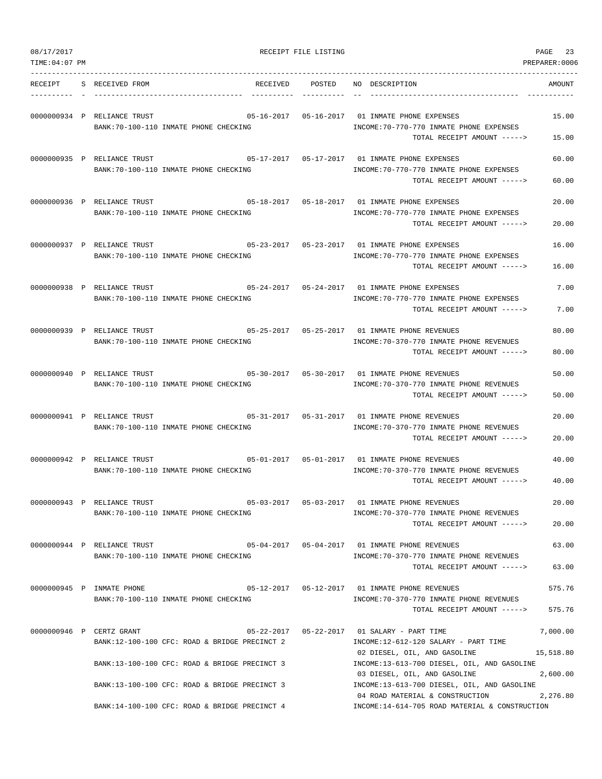| 08/17/2017      |                             |                                                                                              | RECEIPT FILE LISTING |                                                                                                                             | 23<br>PAGE            |
|-----------------|-----------------------------|----------------------------------------------------------------------------------------------|----------------------|-----------------------------------------------------------------------------------------------------------------------------|-----------------------|
| TIME: 04: 07 PM |                             |                                                                                              |                      |                                                                                                                             | PREPARER:0006         |
| RECEIPT         | S RECEIVED FROM             | RECEIVED                                                                                     | POSTED               | NO DESCRIPTION                                                                                                              | AMOUNT                |
|                 | 0000000934 P RELIANCE TRUST | BANK: 70-100-110 INMATE PHONE CHECKING                                                       |                      | 05-16-2017   05-16-2017   01 INMATE PHONE EXPENSES<br>INCOME: 70-770-770 INMATE PHONE EXPENSES                              | 15.00                 |
|                 | 0000000935 P RELIANCE TRUST |                                                                                              |                      | TOTAL RECEIPT AMOUNT -----><br>05-17-2017   05-17-2017   01 INMATE PHONE EXPENSES                                           | 15.00<br>60.00        |
|                 |                             | BANK: 70-100-110 INMATE PHONE CHECKING                                                       |                      | INCOME: 70-770-770 INMATE PHONE EXPENSES<br>TOTAL RECEIPT AMOUNT ----->                                                     | 60.00                 |
|                 | 0000000936 P RELIANCE TRUST | $05-18-2017$ $05-18-2017$ 01 INMATE PHONE EXPENSES<br>BANK: 70-100-110 INMATE PHONE CHECKING |                      | INCOME: 70-770-770 INMATE PHONE EXPENSES                                                                                    | 20.00                 |
|                 |                             |                                                                                              |                      | TOTAL RECEIPT AMOUNT ----->                                                                                                 | 20.00                 |
|                 | 0000000937 P RELIANCE TRUST | BANK: 70-100-110 INMATE PHONE CHECKING                                                       |                      | 05-23-2017  05-23-2017  01 INMATE PHONE EXPENSES<br>INCOME: 70-770-770 INMATE PHONE EXPENSES<br>TOTAL RECEIPT AMOUNT -----> | 16.00<br>16.00        |
|                 | 0000000938 P RELIANCE TRUST |                                                                                              |                      |                                                                                                                             | 7.00                  |
|                 |                             | BANK: 70-100-110 INMATE PHONE CHECKING                                                       |                      | INCOME: 70-770-770 INMATE PHONE EXPENSES<br>TOTAL RECEIPT AMOUNT ----->                                                     | 7.00                  |
|                 | 0000000939 P RELIANCE TRUST |                                                                                              |                      |                                                                                                                             | 80.00                 |
|                 |                             | BANK:70-100-110 INMATE PHONE CHECKING                                                        |                      | INCOME: 70-370-770 INMATE PHONE REVENUES<br>TOTAL RECEIPT AMOUNT ----->                                                     | 80.00                 |
|                 | 0000000940 P RELIANCE TRUST | BANK: 70-100-110 INMATE PHONE CHECKING                                                       |                      | 05-30-2017  05-30-2017  01 INMATE PHONE REVENUES<br>INCOME: 70-370-770 INMATE PHONE REVENUES                                | 50.00                 |
|                 |                             |                                                                                              |                      | TOTAL RECEIPT AMOUNT ----->                                                                                                 | 50.00                 |
|                 | 0000000941 P RELIANCE TRUST | BANK: 70-100-110 INMATE PHONE CHECKING                                                       |                      | INCOME: 70-370-770 INMATE PHONE REVENUES<br>TOTAL RECEIPT AMOUNT ----->                                                     | 20.00<br>20.00        |
|                 | 0000000942 P RELIANCE TRUST | 05-01-2017  05-01-2017  01 INMATE PHONE REVENUES<br>BANK: 70-100-110 INMATE PHONE CHECKING   |                      | INCOME: 70-370-770 INMATE PHONE REVENUES                                                                                    | 40.00                 |
|                 |                             |                                                                                              |                      | TOTAL RECEIPT AMOUNT ----->                                                                                                 | 40.00                 |
|                 | 0000000943 P RELIANCE TRUST | BANK:70-100-110 INMATE PHONE CHECKING                                                        |                      | 05-03-2017  05-03-2017  01 INMATE PHONE REVENUES<br>INCOME: 70-370-770 INMATE PHONE REVENUES                                | 20.00                 |
|                 | 0000000944 P RELIANCE TRUST |                                                                                              |                      | TOTAL RECEIPT AMOUNT -----><br>05-04-2017   05-04-2017   01 INMATE PHONE REVENUES                                           | 20.00<br>63.00        |
|                 |                             | BANK:70-100-110 INMATE PHONE CHECKING                                                        |                      | INCOME: 70-370-770 INMATE PHONE REVENUES<br>TOTAL RECEIPT AMOUNT ----->                                                     | 63.00                 |
|                 | 0000000945 P INMATE PHONE   |                                                                                              |                      | 05-12-2017  05-12-2017  01 INMATE PHONE REVENUES                                                                            | 575.76                |
|                 |                             | BANK: 70-100-110 INMATE PHONE CHECKING                                                       |                      | INCOME: 70-370-770 INMATE PHONE REVENUES<br>TOTAL RECEIPT AMOUNT ----->                                                     | 575.76                |
|                 | 0000000946 P CERTZ GRANT    | BANK:12-100-100 CFC: ROAD & BRIDGE PRECINCT 2                                                |                      | INCOME:12-612-120 SALARY - PART TIME                                                                                        | 7,000.00              |
|                 |                             | BANK:13-100-100 CFC: ROAD & BRIDGE PRECINCT 3                                                |                      | 02 DIESEL, OIL, AND GASOLINE<br>INCOME:13-613-700 DIESEL, OIL, AND GASOLINE<br>03 DIESEL, OIL, AND GASOLINE                 | 15,518.80<br>2,600.00 |
|                 |                             | BANK:13-100-100 CFC: ROAD & BRIDGE PRECINCT 3                                                |                      | INCOME:13-613-700 DIESEL, OIL, AND GASOLINE<br>04 ROAD MATERIAL & CONSTRUCTION                                              | 2,276.80              |
|                 |                             | BANK:14-100-100 CFC: ROAD & BRIDGE PRECINCT 4                                                |                      | INCOME:14-614-705 ROAD MATERIAL & CONSTRUCTION                                                                              |                       |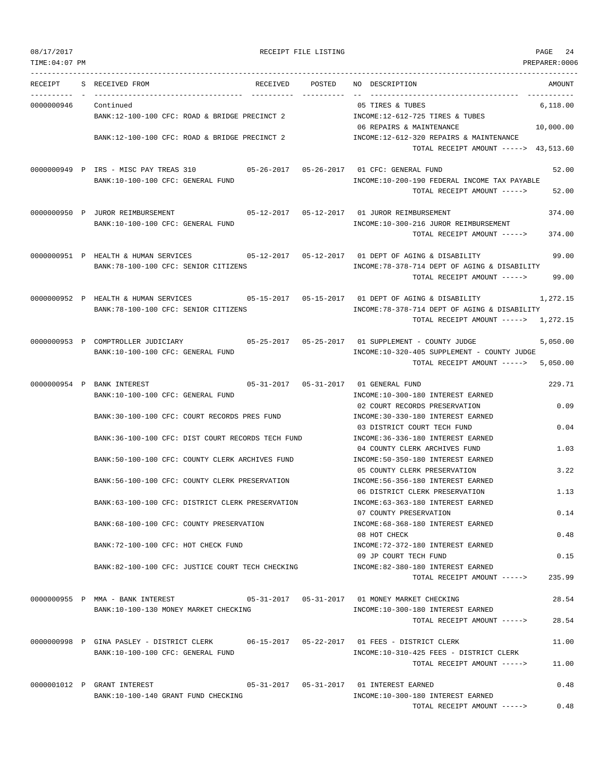| 08/17/2017<br>RECEIPT FILE LISTING | PAGE | 24 |
|------------------------------------|------|----|
|------------------------------------|------|----|

TOTAL RECEIPT AMOUNT -----> 0.48

TIME:04:07 PM PREPARER:0006 --------------------------------------------------------------------------------------------------------------------------------- RECEIPT S RECEIVED FROM THE RECEIVED POSTED NO DESCRIPTION THE RECEIVED AMOUNT ---------- - ----------------------------------- ---------- ---------- -- ----------------------------------- ----------- 0000000946 Continued 05 TIRES & TUBES 6,118.00 BANK:12-100-100 CFC: ROAD & BRIDGE PRECINCT 2 INCOME:12-612-725 TIRES & TUBES 06 REPAIRS & MAINTENANCE 10,000.00 BANK:12-100-100 CFC: ROAD & BRIDGE PRECINCT 2 INCOME:12-612-320 REPAIRS & MAINTENANCE TOTAL RECEIPT AMOUNT -----> 43,513.60 0000000949 P IRS - MISC PAY TREAS 310 05-26-2017 05-26-2017 01 CFC: GENERAL FUND 52.00 BANK:10-100-100 CFC: GENERAL FUND INCOME:10-200-190 FEDERAL INCOME TAX PAYABLE TOTAL RECEIPT AMOUNT -----> 52.00 0000000950 P JUROR REIMBURSEMENT 05-12-2017 05-12-2017 01 JUROR REIMBURSEMENT 374.00 BANK:10-100-100 CFC: GENERAL FUND INCOME:10-300-216 JUROR REIMBURSEMENT TOTAL RECEIPT AMOUNT -----> 374.00 0000000951 P HEALTH & HUMAN SERVICES 05-12-2017 05-12-2017 01 DEPT OF AGING & DISABILITY 99.00 BANK:78-100-100 CFC: SENIOR CITIZENS INCOME:78-378-714 DEPT OF AGING & DISABILITY TOTAL RECEIPT AMOUNT -----> 99.00 0000000952 P HEALTH & HUMAN SERVICES 05-15-2017 05-15-2017 01 DEPT OF AGING & DISABILITY 1,272.15 BANK:78-100-100 CFC: SENIOR CITIZENS INCOME:78-378-714 DEPT OF AGING & DISABILITY TOTAL RECEIPT AMOUNT -----> 1,272.15 0000000953 P COMPTROLLER JUDICIARY 05-25-2017 05-25-2017 01 SUPPLEMENT - COUNTY JUDGE 5,050.00 BANK:10-100-100 CFC: GENERAL FUND **INCOME:10-320-405 SUPPLEMENT** - COUNTY JUDGE TOTAL RECEIPT AMOUNT -----> 5,050.00 0000000954 P BANK INTEREST 05-31-2017 05-31-2017 01 GENERAL FUND 229.71 BANK:10-100-100 CFC: GENERAL FUND INCOME:10-300-180 INTEREST EARNED 02 COURT RECORDS PRESERVATION 0.09 BANK:30-100-100 CFC: COURT RECORDS PRES FUND INCOME:30-330-180 INTEREST EARNED 03 DISTRICT COURT TECH FUND 0.04 BANK:36-100-100 CFC: DIST COURT RECORDS TECH FUND INCOME:36-336-180 INTEREST EARNED 04 COUNTY CLERK ARCHIVES FUND 1.03 BANK:50-100-100 CFC: COUNTY CLERK ARCHIVES FUND INCOME:50-350-180 INTEREST EARNED 05 COUNTY CLERK PRESERVATION 3.22 BANK:56-100-100 CFC: COUNTY CLERK PRESERVATION INCOME:56-356-180 INTEREST EARNED 06 DISTRICT CLERK PRESERVATION 1.13 BANK:63-100-100 CFC: DISTRICT CLERK PRESERVATION INCOME:63-363-180 INTEREST EARNED 07 COUNTY PRESERVATION 0.14 BANK:68-100-100 CFC: COUNTY PRESERVATION INCOME:68-368-180 INTEREST EARNED 08 HOT CHECK 0.48 BANK:72-100-100 CFC: HOT CHECK FUND INCOME:72-372-180 INTEREST EARNED 09 JP COURT TECH FUND 0.15 BANK:82-100-100 CFC: JUSTICE COURT TECH CHECKING INCOME:82-380-180 INTEREST EARNED TOTAL RECEIPT AMOUNT -----> 235.99 0000000955 P MMA - BANK INTEREST 05-31-2017 05-31-2017 01 MONEY MARKET CHECKING 28.54 BANK:10-100-130 MONEY MARKET CHECKING **INCOME:10-300-180 INTEREST EARNED** TOTAL RECEIPT AMOUNT -----> 28.54 0000000998 P GINA PASLEY - DISTRICT CLERK 06-15-2017 05-22-2017 01 FEES - DISTRICT CLERK 11.00 BANK:10-100-100 CFC: GENERAL FUND INCOME:10-310-425 FEES - DISTRICT CLERK TOTAL RECEIPT AMOUNT -----> 11.00 0000001012 P GRANT INTEREST 05-31-2017 05-31-2017 01 INTEREST EARNED 0.48 BANK:10-100-140 GRANT FUND CHECKING INCOME:10-300-180 INTEREST EARNED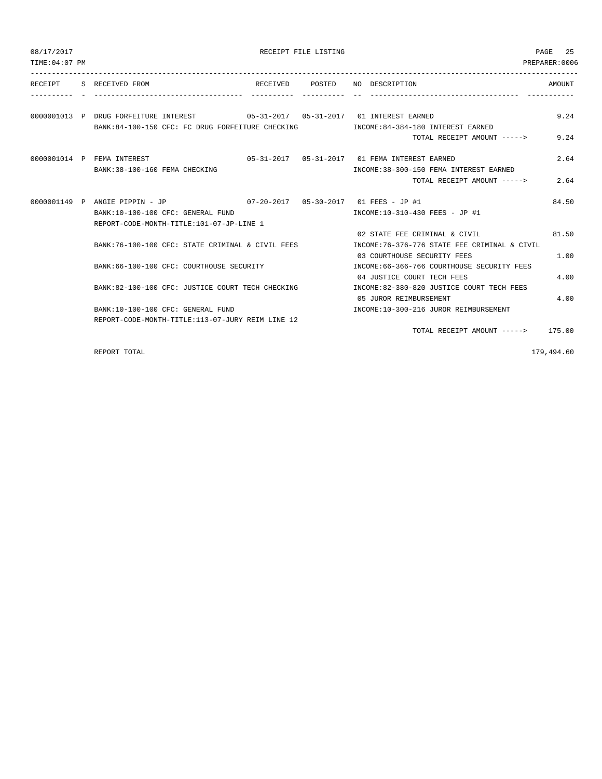| 08/17/2017     |                                                                                  |                 | RECEIPT FILE LISTING |                                                                                                               | PAGE 25        |
|----------------|----------------------------------------------------------------------------------|-----------------|----------------------|---------------------------------------------------------------------------------------------------------------|----------------|
| TIME: 04:07 PM |                                                                                  |                 |                      |                                                                                                               | PREPARER: 0006 |
|                | RECEIPT S RECEIVED FROM                                                          | RECEIVED POSTED |                      | NO DESCRIPTION                                                                                                | AMOUNT         |
|                | 0000001013 P DRUG FORFEITURE INTEREST 65-31-2017 05-31-2017 01 INTEREST EARNED   |                 |                      |                                                                                                               | 9.24           |
|                | BANK:84-100-150 CFC: FC DRUG FORFEITURE CHECKING MODE:84-384-180 INTEREST EARNED |                 |                      | TOTAL RECEIPT AMOUNT ----->                                                                                   | 9.24           |
|                | 0000001014 P FEMA INTEREST<br>BANK: 38-100-160 FEMA CHECKING                     |                 |                      | INCOME: 38-300-150 FEMA INTEREST EARNED                                                                       | 2.64           |
|                |                                                                                  |                 |                      | TOTAL RECEIPT AMOUNT ----->                                                                                   | 2.64           |
|                | BANK:10-100-100 CFC: GENERAL FUND                                                |                 |                      | INCOME:10-310-430 FEES - JP #1                                                                                | 84.50          |
|                | REPORT-CODE-MONTH-TITLE:101-07-JP-LINE 1                                         |                 |                      |                                                                                                               |                |
|                | BANK:76-100-100 CFC: STATE CRIMINAL & CIVIL FEES                                 |                 |                      | 02 STATE FEE CRIMINAL & CIVIL<br>INCOME: 76-376-776 STATE FEE CRIMINAL & CIVIL<br>03 COURTHOUSE SECURITY FEES | 81.50<br>1.00  |
|                | BANK: 66-100-100 CFC: COURTHOUSE SECURITY                                        |                 |                      | INCOME: 66-366-766 COURTHOUSE SECURITY FEES<br>04 JUSTICE COURT TECH FEES                                     | 4.00           |
|                | BANK:82-100-100 CFC: JUSTICE COURT TECH CHECKING                                 |                 |                      | INCOME:82-380-820 JUSTICE COURT TECH FEES<br>05 JUROR REIMBURSEMENT                                           | 4.00           |
|                | BANK:10-100-100 CFC: GENERAL FUND                                                |                 |                      | INCOME:10-300-216 JUROR REIMBURSEMENT                                                                         |                |
|                | REPORT-CODE-MONTH-TITLE:113-07-JURY REIM LINE 12                                 |                 |                      |                                                                                                               |                |
|                |                                                                                  |                 |                      | TOTAL RECEIPT AMOUNT $---2$ 175.00                                                                            |                |

REPORT TOTAL 179,494.60